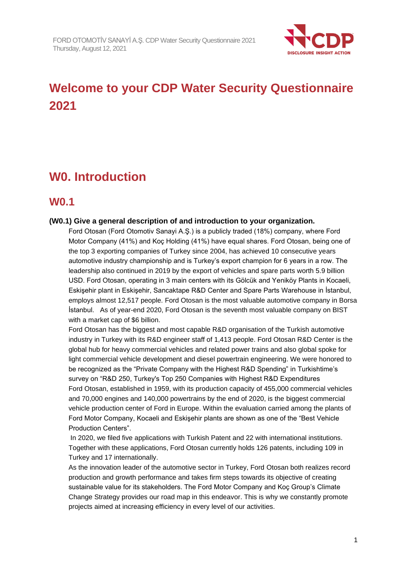

# **Welcome to your CDP Water Security Questionnaire 2021**

# **W0. Introduction**

## **W0.1**

#### **(W0.1) Give a general description of and introduction to your organization.**

Ford Otosan (Ford Otomotiv Sanayi A.Ş.) is a publicly traded (18%) company, where Ford Motor Company (41%) and Koç Holding (41%) have equal shares. Ford Otosan, being one of the top 3 exporting companies of Turkey since 2004, has achieved 10 consecutive years automotive industry championship and is Turkey's export champion for 6 years in a row. The leadership also continued in 2019 by the export of vehicles and spare parts worth 5.9 billion USD. Ford Otosan, operating in 3 main centers with its Gölcük and Yeniköy Plants in Kocaeli, Eskişehir plant in Eskişehir, Sancaktape R&D Center and Spare Parts Warehouse in İstanbul, employs almost 12,517 people. Ford Otosan is the most valuable automotive company in Borsa İstanbul. As of year-end 2020, Ford Otosan is the seventh most valuable company on BIST with a market cap of \$6 billion.

Ford Otosan has the biggest and most capable R&D organisation of the Turkish automotive industry in Turkey with its R&D engineer staff of 1,413 people. Ford Otosan R&D Center is the global hub for heavy commercial vehicles and related power trains and also global spoke for light commercial vehicle development and diesel powertrain engineering. We were honored to be recognized as the "Private Company with the Highest R&D Spending" in Turkishtime's survey on "R&D 250, Turkey's Top 250 Companies with Highest R&D Expenditures Ford Otosan, established in 1959, with its production capacity of 455,000 commercial vehicles and 70,000 engines and 140,000 powertrains by the end of 2020, is the biggest commercial vehicle production center of Ford in Europe. Within the evaluation carried among the plants of Ford Motor Company, Kocaeli and Eskişehir plants are shown as one of the "Best Vehicle Production Centers".

In 2020, we filed five applications with Turkish Patent and 22 with international institutions. Together with these applications, Ford Otosan currently holds 126 patents, including 109 in Turkey and 17 internationally.

As the innovation leader of the automotive sector in Turkey, Ford Otosan both realizes record production and growth performance and takes firm steps towards its objective of creating sustainable value for its stakeholders. The Ford Motor Company and Koç Group's Climate Change Strategy provides our road map in this endeavor. This is why we constantly promote projects aimed at increasing efficiency in every level of our activities.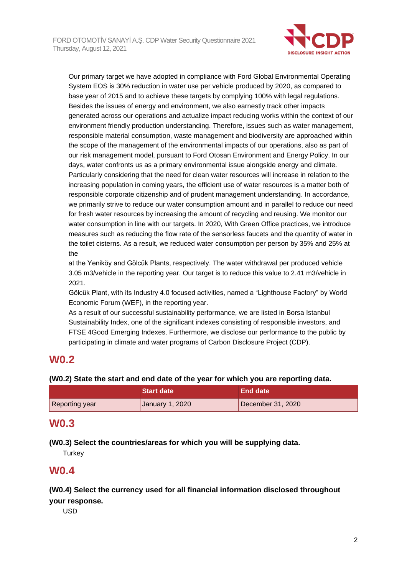

Our primary target we have adopted in compliance with Ford Global Environmental Operating System EOS is 30% reduction in water use per vehicle produced by 2020, as compared to base year of 2015 and to achieve these targets by complying 100% with legal regulations. Besides the issues of energy and environment, we also earnestly track other impacts generated across our operations and actualize impact reducing works within the context of our environment friendly production understanding. Therefore, issues such as water management, responsible material consumption, waste management and biodiversity are approached within the scope of the management of the environmental impacts of our operations, also as part of our risk management model, pursuant to Ford Otosan Environment and Energy Policy. In our days, water confronts us as a primary environmental issue alongside energy and climate. Particularly considering that the need for clean water resources will increase in relation to the increasing population in coming years, the efficient use of water resources is a matter both of responsible corporate citizenship and of prudent management understanding. In accordance, we primarily strive to reduce our water consumption amount and in parallel to reduce our need for fresh water resources by increasing the amount of recycling and reusing. We monitor our water consumption in line with our targets. In 2020, With Green Office practices, we introduce measures such as reducing the flow rate of the sensorless faucets and the quantity of water in the toilet cisterns. As a result, we reduced water consumption per person by 35% and 25% at the

at the Yeniköy and Gölcük Plants, respectively. The water withdrawal per produced vehicle 3.05 m3/vehicle in the reporting year. Our target is to reduce this value to 2.41 m3/vehicle in 2021.

Gölcük Plant, with its Industry 4.0 focused activities, named a "Lighthouse Factory" by World Economic Forum (WEF), in the reporting year.

As a result of our successful sustainability performance, we are listed in Borsa Istanbul Sustainability Index, one of the significant indexes consisting of responsible investors, and FTSE 4Good Emerging Indexes. Furthermore, we disclose our performance to the public by participating in climate and water programs of Carbon Disclosure Project (CDP).

# **W0.2**

### **(W0.2) State the start and end date of the year for which you are reporting data.**

|                       | <b>Start date</b> | <b>End date</b>   |
|-----------------------|-------------------|-------------------|
| <b>Reporting year</b> | January 1, 2020   | December 31, 2020 |

# **W0.3**

### **(W0.3) Select the countries/areas for which you will be supplying data.**

**Turkey** 

## **W0.4**

**(W0.4) Select the currency used for all financial information disclosed throughout your response.**

USD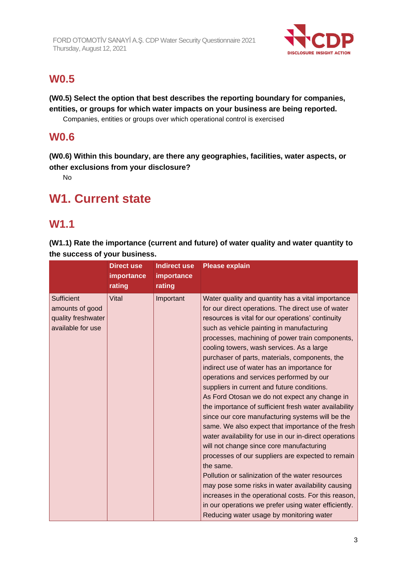

# **W0.5**

**(W0.5) Select the option that best describes the reporting boundary for companies, entities, or groups for which water impacts on your business are being reported.**

Companies, entities or groups over which operational control is exercised

# **W0.6**

**(W0.6) Within this boundary, are there any geographies, facilities, water aspects, or other exclusions from your disclosure?**

No

# **W1. Current state**

## **W1.1**

**(W1.1) Rate the importance (current and future) of water quality and water quantity to the success of your business.**

|                                                                          | <b>Direct use</b><br>importance<br>rating | <b>Indirect use</b><br>importance<br>rating | <b>Please explain</b>                                                                                                                                                                                                                                                                                                                                                                                                                                                                                                                                                                                                                                                                                                                                                                                                                                                                                                                                                                                                                                                                                                                                                 |
|--------------------------------------------------------------------------|-------------------------------------------|---------------------------------------------|-----------------------------------------------------------------------------------------------------------------------------------------------------------------------------------------------------------------------------------------------------------------------------------------------------------------------------------------------------------------------------------------------------------------------------------------------------------------------------------------------------------------------------------------------------------------------------------------------------------------------------------------------------------------------------------------------------------------------------------------------------------------------------------------------------------------------------------------------------------------------------------------------------------------------------------------------------------------------------------------------------------------------------------------------------------------------------------------------------------------------------------------------------------------------|
| Sufficient<br>amounts of good<br>quality freshwater<br>available for use | Vital                                     | Important                                   | Water quality and quantity has a vital importance<br>for our direct operations. The direct use of water<br>resources is vital for our operations' continuity<br>such as vehicle painting in manufacturing<br>processes, machining of power train components,<br>cooling towers, wash services. As a large<br>purchaser of parts, materials, components, the<br>indirect use of water has an importance for<br>operations and services performed by our<br>suppliers in current and future conditions.<br>As Ford Otosan we do not expect any change in<br>the importance of sufficient fresh water availability<br>since our core manufacturing systems will be the<br>same. We also expect that importance of the fresh<br>water availability for use in our in-direct operations<br>will not change since core manufacturing<br>processes of our suppliers are expected to remain<br>the same.<br>Pollution or salinization of the water resources<br>may pose some risks in water availability causing<br>increases in the operational costs. For this reason,<br>in our operations we prefer using water efficiently.<br>Reducing water usage by monitoring water |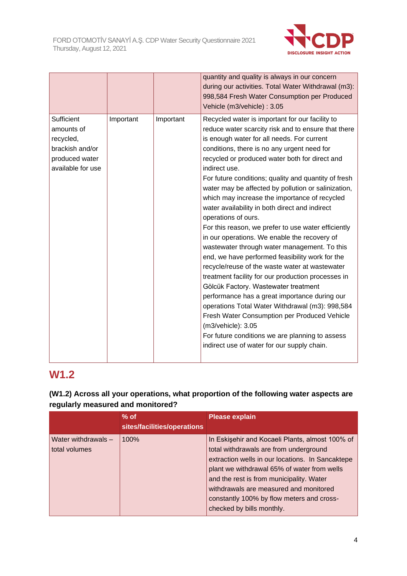

|                                                                                                 |           |           | quantity and quality is always in our concern<br>during our activities. Total Water Withdrawal (m3):<br>998,584 Fresh Water Consumption per Produced<br>Vehicle (m3/vehicle) : 3.05                                                                                                                                                                                                                                                                                                                                                                                                                                                                                                                                                                                                                                                                                                                                                                                                                                                                                                                                                                   |
|-------------------------------------------------------------------------------------------------|-----------|-----------|-------------------------------------------------------------------------------------------------------------------------------------------------------------------------------------------------------------------------------------------------------------------------------------------------------------------------------------------------------------------------------------------------------------------------------------------------------------------------------------------------------------------------------------------------------------------------------------------------------------------------------------------------------------------------------------------------------------------------------------------------------------------------------------------------------------------------------------------------------------------------------------------------------------------------------------------------------------------------------------------------------------------------------------------------------------------------------------------------------------------------------------------------------|
| Sufficient<br>amounts of<br>recycled,<br>brackish and/or<br>produced water<br>available for use | Important | Important | Recycled water is important for our facility to<br>reduce water scarcity risk and to ensure that there<br>is enough water for all needs. For current<br>conditions, there is no any urgent need for<br>recycled or produced water both for direct and<br>indirect use.<br>For future conditions; quality and quantity of fresh<br>water may be affected by pollution or salinization,<br>which may increase the importance of recycled<br>water availability in both direct and indirect<br>operations of ours.<br>For this reason, we prefer to use water efficiently<br>in our operations. We enable the recovery of<br>wastewater through water management. To this<br>end, we have performed feasibility work for the<br>recycle/reuse of the waste water at wastewater<br>treatment facility for our production processes in<br>Gölcük Factory. Wastewater treatment<br>performance has a great importance during our<br>operations Total Water Withdrawal (m3): 998,584<br>Fresh Water Consumption per Produced Vehicle<br>(m3/vehicle): 3.05<br>For future conditions we are planning to assess<br>indirect use of water for our supply chain. |

# **W1.2**

### **(W1.2) Across all your operations, what proportion of the following water aspects are regularly measured and monitored?**

|                                      | $%$ of<br>sites/facilities/operations | <b>Please explain</b>                                                                                                                                                                                                                                                                                                                                        |
|--------------------------------------|---------------------------------------|--------------------------------------------------------------------------------------------------------------------------------------------------------------------------------------------------------------------------------------------------------------------------------------------------------------------------------------------------------------|
| Water withdrawals -<br>total volumes | 100%                                  | In Eskisehir and Kocaeli Plants, almost 100% of<br>total withdrawals are from underground<br>extraction wells in our locations. In Sancaktepe<br>plant we withdrawal 65% of water from wells<br>and the rest is from municipality. Water<br>withdrawals are measured and monitored<br>constantly 100% by flow meters and cross-<br>checked by bills monthly. |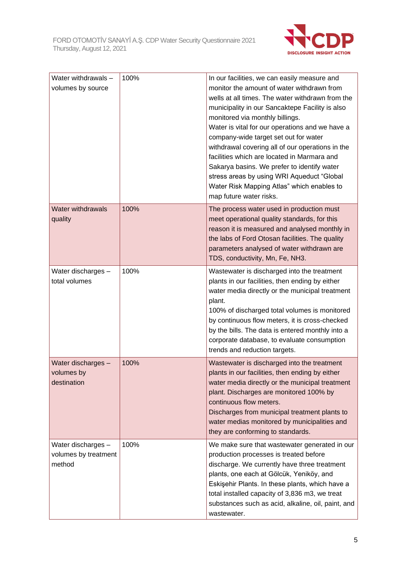

| Water withdrawals -<br>volumes by source             | 100% | In our facilities, we can easily measure and<br>monitor the amount of water withdrawn from<br>wells at all times. The water withdrawn from the<br>municipality in our Sancaktepe Facility is also<br>monitored via monthly billings.<br>Water is vital for our operations and we have a<br>company-wide target set out for water<br>withdrawal covering all of our operations in the<br>facilities which are located in Marmara and<br>Sakarya basins. We prefer to identify water<br>stress areas by using WRI Aqueduct "Global<br>Water Risk Mapping Atlas" which enables to<br>map future water risks. |
|------------------------------------------------------|------|-----------------------------------------------------------------------------------------------------------------------------------------------------------------------------------------------------------------------------------------------------------------------------------------------------------------------------------------------------------------------------------------------------------------------------------------------------------------------------------------------------------------------------------------------------------------------------------------------------------|
| <b>Water withdrawals</b><br>quality                  | 100% | The process water used in production must<br>meet operational quality standards, for this<br>reason it is measured and analysed monthly in<br>the labs of Ford Otosan facilities. The quality<br>parameters analysed of water withdrawn are<br>TDS, conductivity, Mn, Fe, NH3.                                                                                                                                                                                                                                                                                                                            |
| Water discharges -<br>total volumes                  | 100% | Wastewater is discharged into the treatment<br>plants in our facilities, then ending by either<br>water media directly or the municipal treatment<br>plant.<br>100% of discharged total volumes is monitored<br>by continuous flow meters, it is cross-checked<br>by the bills. The data is entered monthly into a<br>corporate database, to evaluate consumption<br>trends and reduction targets.                                                                                                                                                                                                        |
| Water discharges -<br>volumes by<br>destination      | 100% | Wastewater is discharged into the treatment<br>plants in our facilities, then ending by either<br>water media directly or the municipal treatment<br>plant. Discharges are monitored 100% by<br>continuous flow meters.<br>Discharges from municipal treatment plants to<br>water medias monitored by municipalities and<br>they are conforming to standards.                                                                                                                                                                                                                                             |
| Water discharges -<br>volumes by treatment<br>method | 100% | We make sure that wastewater generated in our<br>production processes is treated before<br>discharge. We currently have three treatment<br>plants, one each at Gölcük, Yeniköy, and<br>Eskişehir Plants. In these plants, which have a<br>total installed capacity of 3,836 m3, we treat<br>substances such as acid, alkaline, oil, paint, and<br>wastewater.                                                                                                                                                                                                                                             |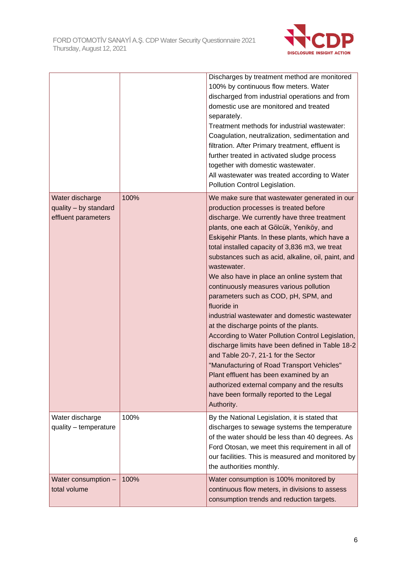

|                                                                 |      | Discharges by treatment method are monitored<br>100% by continuous flow meters. Water<br>discharged from industrial operations and from<br>domestic use are monitored and treated<br>separately.<br>Treatment methods for industrial wastewater:<br>Coagulation, neutralization, sedimentation and<br>filtration. After Primary treatment, effluent is<br>further treated in activated sludge process<br>together with domestic wastewater.<br>All wastewater was treated according to Water<br>Pollution Control Legislation.                                                                                                                                                                                                                                                                                                                                                                                                                             |
|-----------------------------------------------------------------|------|------------------------------------------------------------------------------------------------------------------------------------------------------------------------------------------------------------------------------------------------------------------------------------------------------------------------------------------------------------------------------------------------------------------------------------------------------------------------------------------------------------------------------------------------------------------------------------------------------------------------------------------------------------------------------------------------------------------------------------------------------------------------------------------------------------------------------------------------------------------------------------------------------------------------------------------------------------|
| Water discharge<br>quality - by standard<br>effluent parameters | 100% | We make sure that wastewater generated in our<br>production processes is treated before<br>discharge. We currently have three treatment<br>plants, one each at Gölcük, Yeniköy, and<br>Eskişehir Plants. In these plants, which have a<br>total installed capacity of 3,836 m3, we treat<br>substances such as acid, alkaline, oil, paint, and<br>wastewater.<br>We also have in place an online system that<br>continuously measures various pollution<br>parameters such as COD, pH, SPM, and<br>fluoride in<br>industrial wastewater and domestic wastewater<br>at the discharge points of the plants.<br>According to Water Pollution Control Legislation,<br>discharge limits have been defined in Table 18-2<br>and Table 20-7, 21-1 for the Sector<br>"Manufacturing of Road Transport Vehicles"<br>Plant effluent has been examined by an<br>authorized external company and the results<br>have been formally reported to the Legal<br>Authority. |
| Water discharge<br>quality - temperature                        | 100% | By the National Legislation, it is stated that<br>discharges to sewage systems the temperature<br>of the water should be less than 40 degrees. As<br>Ford Otosan, we meet this requirement in all of<br>our facilities. This is measured and monitored by<br>the authorities monthly.                                                                                                                                                                                                                                                                                                                                                                                                                                                                                                                                                                                                                                                                      |
| Water consumption -<br>total volume                             | 100% | Water consumption is 100% monitored by<br>continuous flow meters, in divisions to assess<br>consumption trends and reduction targets.                                                                                                                                                                                                                                                                                                                                                                                                                                                                                                                                                                                                                                                                                                                                                                                                                      |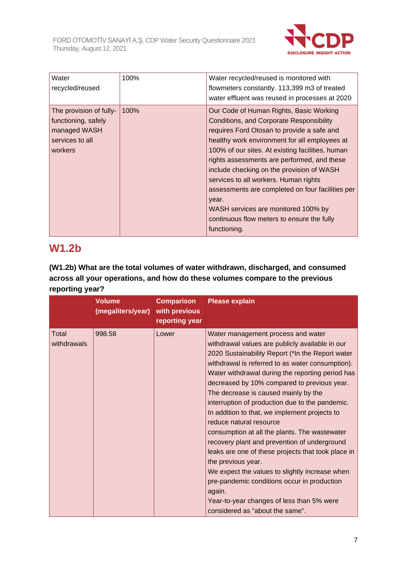

| Water<br>recycled/reused                                                                     | 100% | Water recycled/reused is monitored with<br>flowmeters constantly. 113,399 m3 of treated<br>water effluent was reused in processes at 2020                                                                                                                                                                                                                                                                                                                                                                                                            |
|----------------------------------------------------------------------------------------------|------|------------------------------------------------------------------------------------------------------------------------------------------------------------------------------------------------------------------------------------------------------------------------------------------------------------------------------------------------------------------------------------------------------------------------------------------------------------------------------------------------------------------------------------------------------|
| The provision of fully-<br>functioning, safely<br>managed WASH<br>services to all<br>workers | 100% | Our Code of Human Rights, Basic Working<br><b>Conditions, and Corporate Responsibility</b><br>requires Ford Otosan to provide a safe and<br>healthy work environment for all employees at<br>100% of our sites. At existing facilities, human<br>rights assessments are performed, and these<br>include checking on the provision of WASH<br>services to all workers. Human rights<br>assessments are completed on four facilities per<br>year.<br>WASH services are monitored 100% by<br>continuous flow meters to ensure the fully<br>functioning. |

# **W1.2b**

**(W1.2b) What are the total volumes of water withdrawn, discharged, and consumed across all your operations, and how do these volumes compare to the previous reporting year?**

|                      | <b>Volume</b><br>(megaliters/year) | <b>Comparison</b><br>with previous<br>reporting year | <b>Please explain</b>                                                                                                                                                                                                                                                                                                                                                                                                                                                                                                                                                                                                                                                                                                                                                                                                                           |
|----------------------|------------------------------------|------------------------------------------------------|-------------------------------------------------------------------------------------------------------------------------------------------------------------------------------------------------------------------------------------------------------------------------------------------------------------------------------------------------------------------------------------------------------------------------------------------------------------------------------------------------------------------------------------------------------------------------------------------------------------------------------------------------------------------------------------------------------------------------------------------------------------------------------------------------------------------------------------------------|
| Total<br>withdrawals | 998.58                             | Lower                                                | Water management process and water<br>withdrawal values are publicly available in our<br>2020 Sustainability Report (*In the Report water<br>withdrawal is referred to as water consumption).<br>Water withdrawal during the reporting period has<br>decreased by 10% compared to previous year.<br>The decrease is caused mainly by the<br>interruption of production due to the pandemic.<br>In addition to that, we implement projects to<br>reduce natural resource<br>consumption at all the plants. The wastewater<br>recovery plant and prevention of underground<br>leaks are one of these projects that took place in<br>the previous year.<br>We expect the values to slightly increase when<br>pre-pandemic conditions occur in production<br>again.<br>Year-to-year changes of less than 5% were<br>considered as "about the same". |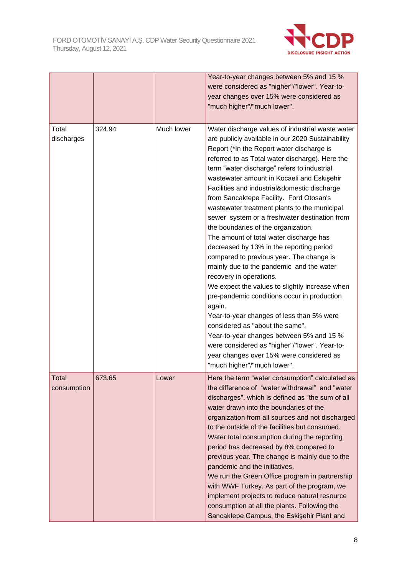

|                             |        |            | Year-to-year changes between 5% and 15 %<br>were considered as "higher"/"lower". Year-to-<br>year changes over 15% were considered as<br>"much higher"/"much lower".                                                                                                                                                                                                                                                                                                                                                                                                                                                                                                                                                                                                                                                                                                                                                                                                                                                                                                                                               |
|-----------------------------|--------|------------|--------------------------------------------------------------------------------------------------------------------------------------------------------------------------------------------------------------------------------------------------------------------------------------------------------------------------------------------------------------------------------------------------------------------------------------------------------------------------------------------------------------------------------------------------------------------------------------------------------------------------------------------------------------------------------------------------------------------------------------------------------------------------------------------------------------------------------------------------------------------------------------------------------------------------------------------------------------------------------------------------------------------------------------------------------------------------------------------------------------------|
| Total<br>discharges         | 324.94 | Much lower | Water discharge values of industrial waste water<br>are publicly available in our 2020 Sustainability<br>Report (*In the Report water discharge is<br>referred to as Total water discharge). Here the<br>term "water discharge" refers to industrial<br>wastewater amount in Kocaeli and Eskişehir<br>Facilities and industrial&domestic discharge<br>from Sancaktepe Facility. Ford Otosan's<br>wastewater treatment plants to the municipal<br>sewer system or a freshwater destination from<br>the boundaries of the organization.<br>The amount of total water discharge has<br>decreased by 13% in the reporting period<br>compared to previous year. The change is<br>mainly due to the pandemic and the water<br>recovery in operations.<br>We expect the values to slightly increase when<br>pre-pandemic conditions occur in production<br>again.<br>Year-to-year changes of less than 5% were<br>considered as "about the same".<br>Year-to-year changes between 5% and 15 %<br>were considered as "higher"/"lower". Year-to-<br>year changes over 15% were considered as<br>"much higher"/"much lower". |
| <b>Total</b><br>consumption | 673.65 | Lower      | Here the term "water consumption" calculated as<br>the difference of "water withdrawal" and "water<br>discharges". which is defined as "the sum of all<br>water drawn into the boundaries of the<br>organization from all sources and not discharged<br>to the outside of the facilities but consumed.<br>Water total consumption during the reporting<br>period has decreased by 8% compared to<br>previous year. The change is mainly due to the<br>pandemic and the initiatives.<br>We run the Green Office program in partnership<br>with WWF Turkey. As part of the program, we<br>implement projects to reduce natural resource<br>consumption at all the plants. Following the<br>Sancaktepe Campus, the Eskişehir Plant and                                                                                                                                                                                                                                                                                                                                                                                |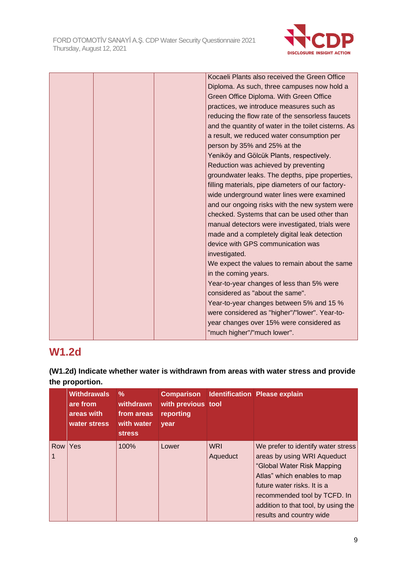

| Kocaeli Plants also received the Green Office        |
|------------------------------------------------------|
| Diploma. As such, three campuses now hold a          |
| Green Office Diploma. With Green Office              |
| practices, we introduce measures such as             |
| reducing the flow rate of the sensorless faucets     |
| and the quantity of water in the toilet cisterns. As |
| a result, we reduced water consumption per           |
| person by 35% and 25% at the                         |
| Yeniköy and Gölcük Plants, respectively.             |
| Reduction was achieved by preventing                 |
| groundwater leaks. The depths, pipe properties,      |
| filling materials, pipe diameters of our factory-    |
| wide underground water lines were examined           |
| and our ongoing risks with the new system were       |
| checked. Systems that can be used other than         |
| manual detectors were investigated, trials were      |
| made and a completely digital leak detection         |
| device with GPS communication was                    |
| investigated.                                        |
| We expect the values to remain about the same        |
| in the coming years.                                 |
| Year-to-year changes of less than 5% were            |
| considered as "about the same".                      |
| Year-to-year changes between 5% and 15 %             |
| were considered as "higher"/"lower". Year-to-        |
| year changes over 15% were considered as             |
| "much higher"/"much lower".                          |

# **W1.2d**

**(W1.2d) Indicate whether water is withdrawn from areas with water stress and provide the proportion.**

|     | <b>Withdrawals</b><br>are from<br>areas with<br>water stress | %<br>withdrawn<br>from areas<br>with water<br><b>stress</b> | <b>Comparison</b><br>with previous tool<br>reporting<br>year |                        | <b>Identification Please explain</b>                                                                                                                                                                                                                             |
|-----|--------------------------------------------------------------|-------------------------------------------------------------|--------------------------------------------------------------|------------------------|------------------------------------------------------------------------------------------------------------------------------------------------------------------------------------------------------------------------------------------------------------------|
| Row | Yes                                                          | 100%                                                        | Lower                                                        | <b>WRI</b><br>Aqueduct | We prefer to identify water stress<br>areas by using WRI Aqueduct<br>"Global Water Risk Mapping<br>Atlas" which enables to map<br>future water risks. It is a<br>recommended tool by TCFD. In<br>addition to that tool, by using the<br>results and country wide |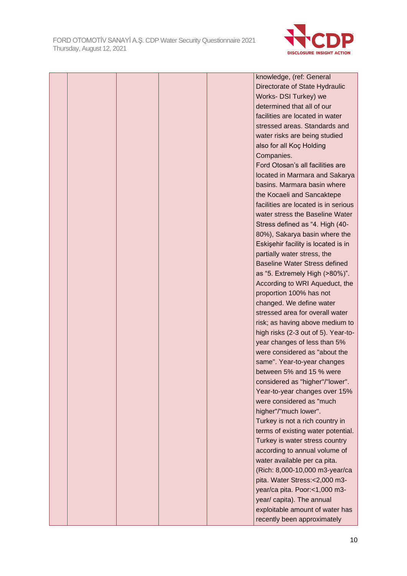

| Directorate of State Hydraulic<br>Works- DSI Turkey) we<br>determined that all of our<br>facilities are located in water<br>stressed areas. Standards and<br>water risks are being studied<br>also for all Koç Holding<br>Companies.<br>Ford Otosan's all facilities are<br>located in Marmara and Sakarya |
|------------------------------------------------------------------------------------------------------------------------------------------------------------------------------------------------------------------------------------------------------------------------------------------------------------|
|                                                                                                                                                                                                                                                                                                            |
|                                                                                                                                                                                                                                                                                                            |
|                                                                                                                                                                                                                                                                                                            |
|                                                                                                                                                                                                                                                                                                            |
|                                                                                                                                                                                                                                                                                                            |
|                                                                                                                                                                                                                                                                                                            |
|                                                                                                                                                                                                                                                                                                            |
|                                                                                                                                                                                                                                                                                                            |
|                                                                                                                                                                                                                                                                                                            |
|                                                                                                                                                                                                                                                                                                            |
| basins. Marmara basin where                                                                                                                                                                                                                                                                                |
| the Kocaeli and Sancaktepe                                                                                                                                                                                                                                                                                 |
| facilities are located is in serious                                                                                                                                                                                                                                                                       |
| water stress the Baseline Water                                                                                                                                                                                                                                                                            |
| Stress defined as "4. High (40-                                                                                                                                                                                                                                                                            |
| 80%), Sakarya basin where the                                                                                                                                                                                                                                                                              |
| Eskişehir facility is located is in                                                                                                                                                                                                                                                                        |
| partially water stress, the                                                                                                                                                                                                                                                                                |
| <b>Baseline Water Stress defined</b>                                                                                                                                                                                                                                                                       |
| as "5. Extremely High (>80%)".                                                                                                                                                                                                                                                                             |
| According to WRI Aqueduct, the                                                                                                                                                                                                                                                                             |
| proportion 100% has not                                                                                                                                                                                                                                                                                    |
| changed. We define water                                                                                                                                                                                                                                                                                   |
| stressed area for overall water                                                                                                                                                                                                                                                                            |
| risk; as having above medium to                                                                                                                                                                                                                                                                            |
| high risks (2-3 out of 5). Year-to-                                                                                                                                                                                                                                                                        |
| year changes of less than 5%                                                                                                                                                                                                                                                                               |
| were considered as "about the                                                                                                                                                                                                                                                                              |
| same". Year-to-year changes                                                                                                                                                                                                                                                                                |
| between 5% and 15 % were                                                                                                                                                                                                                                                                                   |
| considered as "higher"/"lower".                                                                                                                                                                                                                                                                            |
| Year-to-year changes over 15%                                                                                                                                                                                                                                                                              |
| were considered as "much                                                                                                                                                                                                                                                                                   |
| higher"/"much lower".                                                                                                                                                                                                                                                                                      |
| Turkey is not a rich country in                                                                                                                                                                                                                                                                            |
| terms of existing water potential.                                                                                                                                                                                                                                                                         |
| Turkey is water stress country                                                                                                                                                                                                                                                                             |
| according to annual volume of                                                                                                                                                                                                                                                                              |
| water available per ca pita.                                                                                                                                                                                                                                                                               |
| (Rich: 8,000-10,000 m3-year/ca                                                                                                                                                                                                                                                                             |
| pita. Water Stress:<2,000 m3-                                                                                                                                                                                                                                                                              |
| year/ca pita. Poor:<1,000 m3-                                                                                                                                                                                                                                                                              |
| year/ capita). The annual                                                                                                                                                                                                                                                                                  |
| exploitable amount of water has                                                                                                                                                                                                                                                                            |
| recently been approximately                                                                                                                                                                                                                                                                                |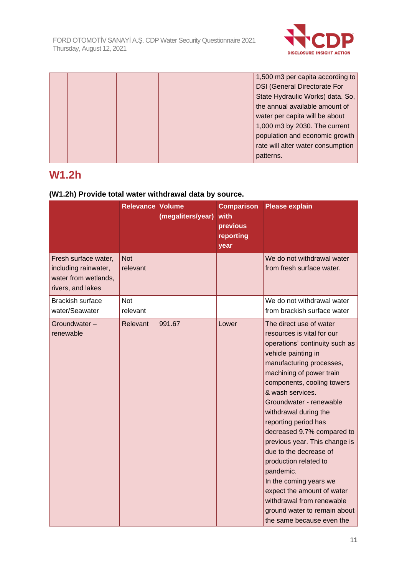

|  |  | 1,500 m3 per capita according to    |
|--|--|-------------------------------------|
|  |  | <b>DSI (General Directorate For</b> |
|  |  | State Hydraulic Works) data. So,    |
|  |  | the annual available amount of      |
|  |  | water per capita will be about      |
|  |  | 1,000 m3 by 2030. The current       |
|  |  | population and economic growth      |
|  |  | rate will alter water consumption   |
|  |  | patterns.                           |

# **W1.2h**

# **(W1.2h) Provide total water withdrawal data by source.**

|                                                                                           | <b>Relevance Volume</b> | (megaliters/year) | <b>Comparison</b><br>with<br>previous<br>reporting<br>year | <b>Please explain</b>                                                                                                                                                                                                                                                                                                                                                                                                                                                                                                                                                                 |
|-------------------------------------------------------------------------------------------|-------------------------|-------------------|------------------------------------------------------------|---------------------------------------------------------------------------------------------------------------------------------------------------------------------------------------------------------------------------------------------------------------------------------------------------------------------------------------------------------------------------------------------------------------------------------------------------------------------------------------------------------------------------------------------------------------------------------------|
| Fresh surface water,<br>including rainwater,<br>water from wetlands,<br>rivers, and lakes | <b>Not</b><br>relevant  |                   |                                                            | We do not withdrawal water<br>from fresh surface water.                                                                                                                                                                                                                                                                                                                                                                                                                                                                                                                               |
| <b>Brackish surface</b><br>water/Seawater                                                 | <b>Not</b><br>relevant  |                   |                                                            | We do not withdrawal water<br>from brackish surface water                                                                                                                                                                                                                                                                                                                                                                                                                                                                                                                             |
| Groundwater-<br>renewable                                                                 | Relevant                | 991.67            | Lower                                                      | The direct use of water<br>resources is vital for our<br>operations' continuity such as<br>vehicle painting in<br>manufacturing processes,<br>machining of power train<br>components, cooling towers<br>& wash services.<br>Groundwater - renewable<br>withdrawal during the<br>reporting period has<br>decreased 9.7% compared to<br>previous year. This change is<br>due to the decrease of<br>production related to<br>pandemic.<br>In the coming years we<br>expect the amount of water<br>withdrawal from renewable<br>ground water to remain about<br>the same because even the |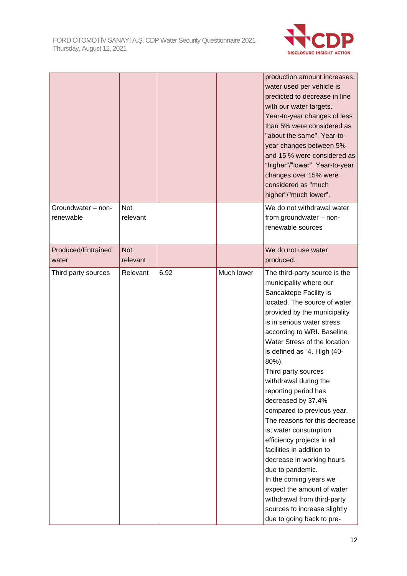

|                                    |                        |      |            | production amount increases,<br>water used per vehicle is<br>predicted to decrease in line<br>with our water targets.<br>Year-to-year changes of less<br>than 5% were considered as<br>"about the same". Year-to-<br>year changes between 5%<br>and 15 % were considered as<br>"higher"/"lower". Year-to-year<br>changes over 15% were<br>considered as "much<br>higher"/"much lower".                                                                                                                                                                                                                                                                                                                                                      |
|------------------------------------|------------------------|------|------------|---------------------------------------------------------------------------------------------------------------------------------------------------------------------------------------------------------------------------------------------------------------------------------------------------------------------------------------------------------------------------------------------------------------------------------------------------------------------------------------------------------------------------------------------------------------------------------------------------------------------------------------------------------------------------------------------------------------------------------------------|
| Groundwater - non-<br>renewable    | <b>Not</b><br>relevant |      |            | We do not withdrawal water<br>from groundwater - non-<br>renewable sources                                                                                                                                                                                                                                                                                                                                                                                                                                                                                                                                                                                                                                                                  |
| <b>Produced/Entrained</b><br>water | <b>Not</b><br>relevant |      |            | We do not use water<br>produced.                                                                                                                                                                                                                                                                                                                                                                                                                                                                                                                                                                                                                                                                                                            |
| Third party sources                | Relevant               | 6.92 | Much lower | The third-party source is the<br>municipality where our<br>Sancaktepe Facility is<br>located. The source of water<br>provided by the municipality<br>is in serious water stress<br>according to WRI. Baseline<br>Water Stress of the location<br>is defined as "4. High (40-<br>80%).<br>Third party sources<br>withdrawal during the<br>reporting period has<br>decreased by 37.4%<br>compared to previous year.<br>The reasons for this decrease<br>is; water consumption<br>efficiency projects in all<br>facilities in addition to<br>decrease in working hours<br>due to pandemic.<br>In the coming years we<br>expect the amount of water<br>withdrawal from third-party<br>sources to increase slightly<br>due to going back to pre- |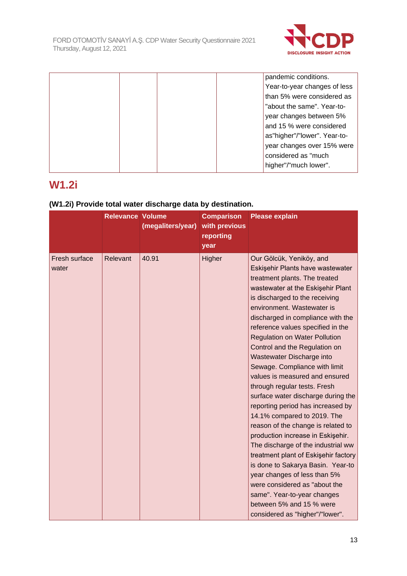

|  |  | pandemic conditions.         |
|--|--|------------------------------|
|  |  | Year-to-year changes of less |
|  |  | than 5% were considered as   |
|  |  | "about the same". Year-to-   |
|  |  | year changes between 5%      |
|  |  | and 15 % were considered     |
|  |  | as"higher"/"lower". Year-to- |
|  |  | year changes over 15% were   |
|  |  | considered as "much"         |
|  |  | higher"/"much lower".        |
|  |  |                              |

# **W1.2i**

### **(W1.2i) Provide total water discharge data by destination.**

|                        | <b>Relevance Volume</b> | (megaliters/year) | <b>Comparison</b><br>with previous<br>reporting<br>year | <b>Please explain</b>                                                                                                                                                                                                                                                                                                                                                                                                                                                                                                                                                                                                                                                                                                                                                                                                                                                                                                                                        |
|------------------------|-------------------------|-------------------|---------------------------------------------------------|--------------------------------------------------------------------------------------------------------------------------------------------------------------------------------------------------------------------------------------------------------------------------------------------------------------------------------------------------------------------------------------------------------------------------------------------------------------------------------------------------------------------------------------------------------------------------------------------------------------------------------------------------------------------------------------------------------------------------------------------------------------------------------------------------------------------------------------------------------------------------------------------------------------------------------------------------------------|
| Fresh surface<br>water | Relevant                | 40.91             | Higher                                                  | Our Gölcük, Yeniköy, and<br>Eskişehir Plants have wastewater<br>treatment plants. The treated<br>wastewater at the Eskişehir Plant<br>is discharged to the receiving<br>environment. Wastewater is<br>discharged in compliance with the<br>reference values specified in the<br><b>Regulation on Water Pollution</b><br>Control and the Regulation on<br>Wastewater Discharge into<br>Sewage. Compliance with limit<br>values is measured and ensured<br>through regular tests. Fresh<br>surface water discharge during the<br>reporting period has increased by<br>14.1% compared to 2019. The<br>reason of the change is related to<br>production increase in Eskişehir.<br>The discharge of the industrial ww<br>treatment plant of Eskişehir factory<br>is done to Sakarya Basin. Year-to<br>year changes of less than 5%<br>were considered as "about the<br>same". Year-to-year changes<br>between 5% and 15 % were<br>considered as "higher"/"lower". |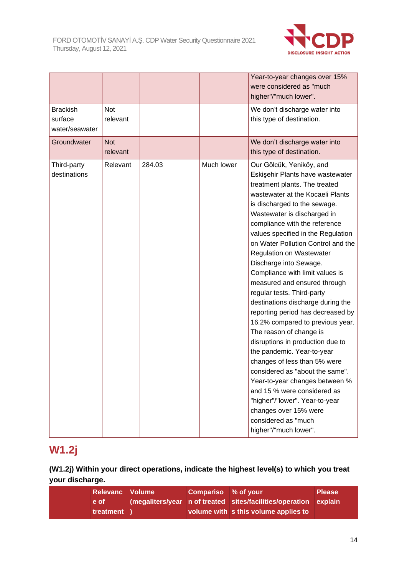

|                                              |                        |        |            | Year-to-year changes over 15%<br>were considered as "much<br>higher"/"much lower".                                                                                                                                                                                                                                                                                                                                                                                                                                                                                                                                                                                                                                                                                                                                                                                                                                                    |
|----------------------------------------------|------------------------|--------|------------|---------------------------------------------------------------------------------------------------------------------------------------------------------------------------------------------------------------------------------------------------------------------------------------------------------------------------------------------------------------------------------------------------------------------------------------------------------------------------------------------------------------------------------------------------------------------------------------------------------------------------------------------------------------------------------------------------------------------------------------------------------------------------------------------------------------------------------------------------------------------------------------------------------------------------------------|
| <b>Brackish</b><br>surface<br>water/seawater | <b>Not</b><br>relevant |        |            | We don't discharge water into<br>this type of destination.                                                                                                                                                                                                                                                                                                                                                                                                                                                                                                                                                                                                                                                                                                                                                                                                                                                                            |
| Groundwater                                  | <b>Not</b><br>relevant |        |            | We don't discharge water into<br>this type of destination.                                                                                                                                                                                                                                                                                                                                                                                                                                                                                                                                                                                                                                                                                                                                                                                                                                                                            |
| Third-party<br>destinations                  | Relevant               | 284.03 | Much lower | Our Gölcük, Yeniköy, and<br>Eskişehir Plants have wastewater<br>treatment plants. The treated<br>wastewater at the Kocaeli Plants<br>is discharged to the sewage.<br>Wastewater is discharged in<br>compliance with the reference<br>values specified in the Regulation<br>on Water Pollution Control and the<br><b>Regulation on Wastewater</b><br>Discharge into Sewage.<br>Compliance with limit values is<br>measured and ensured through<br>regular tests. Third-party<br>destinations discharge during the<br>reporting period has decreased by<br>16.2% compared to previous year.<br>The reason of change is<br>disruptions in production due to<br>the pandemic. Year-to-year<br>changes of less than 5% were<br>considered as "about the same".<br>Year-to-year changes between %<br>and 15 % were considered as<br>"higher"/"lower". Year-to-year<br>changes over 15% were<br>considered as "much<br>higher"/"much lower". |

# **W1.2j**

### **(W1.2j) Within your direct operations, indicate the highest level(s) to which you treat your discharge.**

| Relevanc Volume | Compariso % of your |                                                                  | <b>Please</b> |
|-----------------|---------------------|------------------------------------------------------------------|---------------|
| e of            |                     | (megaliters/year n of treated sites/facilities/operation explain |               |
| treatment )     |                     | volume with s this volume applies to                             |               |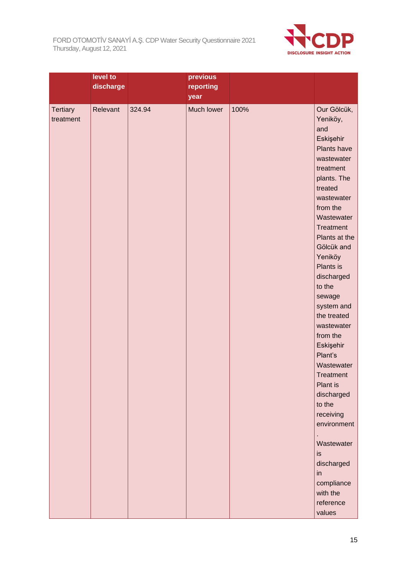

|                 | level to<br>discharge |        | previous<br>reporting<br>year |      |                                                                                       |
|-----------------|-----------------------|--------|-------------------------------|------|---------------------------------------------------------------------------------------|
| <b>Tertiary</b> | Relevant              | 324.94 | <b>Much lower</b>             | 100% | Our Gölcük,                                                                           |
| treatment       |                       |        |                               |      | Yeniköy,                                                                              |
|                 |                       |        |                               |      | and                                                                                   |
|                 |                       |        |                               |      | Eskişehir                                                                             |
|                 |                       |        |                               |      | Plants have                                                                           |
|                 |                       |        |                               |      | wastewater                                                                            |
|                 |                       |        |                               |      | treatment                                                                             |
|                 |                       |        |                               |      | plants. The                                                                           |
|                 |                       |        |                               |      | treated                                                                               |
|                 |                       |        |                               |      | wastewater                                                                            |
|                 |                       |        |                               |      | from the                                                                              |
|                 |                       |        |                               |      | Wastewater                                                                            |
|                 |                       |        |                               |      | Treatment                                                                             |
|                 |                       |        |                               |      | Plants at the                                                                         |
|                 |                       |        |                               |      | Gölcük and                                                                            |
|                 |                       |        |                               |      | Yeniköy                                                                               |
|                 |                       |        |                               |      | Plants is                                                                             |
|                 |                       |        |                               |      | discharged                                                                            |
|                 |                       |        |                               |      | to the                                                                                |
|                 |                       |        |                               |      | sewage                                                                                |
|                 |                       |        |                               |      | system and                                                                            |
|                 |                       |        |                               |      | the treated                                                                           |
|                 |                       |        |                               |      | wastewater                                                                            |
|                 |                       |        |                               |      | from the                                                                              |
|                 |                       |        |                               |      | Eskişehir                                                                             |
|                 |                       |        |                               |      | Plant's                                                                               |
|                 |                       |        |                               |      | Wastewater                                                                            |
|                 |                       |        |                               |      | Treatment                                                                             |
|                 |                       |        |                               |      | Plant is                                                                              |
|                 |                       |        |                               |      | discharged                                                                            |
|                 |                       |        |                               |      | to the                                                                                |
|                 |                       |        |                               |      | receiving                                                                             |
|                 |                       |        |                               |      | environment                                                                           |
|                 |                       |        |                               |      |                                                                                       |
|                 |                       |        |                               |      |                                                                                       |
|                 |                       |        |                               |      |                                                                                       |
|                 |                       |        |                               |      |                                                                                       |
|                 |                       |        |                               |      |                                                                                       |
|                 |                       |        |                               |      |                                                                                       |
|                 |                       |        |                               |      |                                                                                       |
|                 |                       |        |                               |      |                                                                                       |
|                 |                       |        |                               |      | Wastewater<br>is<br>discharged<br>in<br>compliance<br>with the<br>reference<br>values |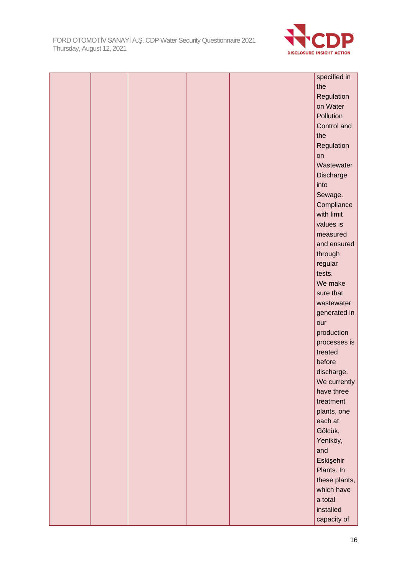

|  |  |  | specified in  |
|--|--|--|---------------|
|  |  |  | the           |
|  |  |  | Regulation    |
|  |  |  | on Water      |
|  |  |  | Pollution     |
|  |  |  | Control and   |
|  |  |  | the           |
|  |  |  | Regulation    |
|  |  |  | on            |
|  |  |  | Wastewater    |
|  |  |  | Discharge     |
|  |  |  | into          |
|  |  |  | Sewage.       |
|  |  |  | Compliance    |
|  |  |  | with limit    |
|  |  |  | values is     |
|  |  |  | measured      |
|  |  |  | and ensured   |
|  |  |  | through       |
|  |  |  | regular       |
|  |  |  | tests.        |
|  |  |  | We make       |
|  |  |  | sure that     |
|  |  |  | wastewater    |
|  |  |  | generated in  |
|  |  |  | our           |
|  |  |  | production    |
|  |  |  | processes is  |
|  |  |  | treated       |
|  |  |  | before        |
|  |  |  | discharge.    |
|  |  |  | We currently  |
|  |  |  | have three    |
|  |  |  | treatment     |
|  |  |  | plants, one   |
|  |  |  | each at       |
|  |  |  | Gölcük,       |
|  |  |  | Yeniköy,      |
|  |  |  | and           |
|  |  |  | Eskişehir     |
|  |  |  | Plants. In    |
|  |  |  | these plants, |
|  |  |  | which have    |
|  |  |  |               |
|  |  |  | a total       |
|  |  |  | installed     |
|  |  |  | capacity of   |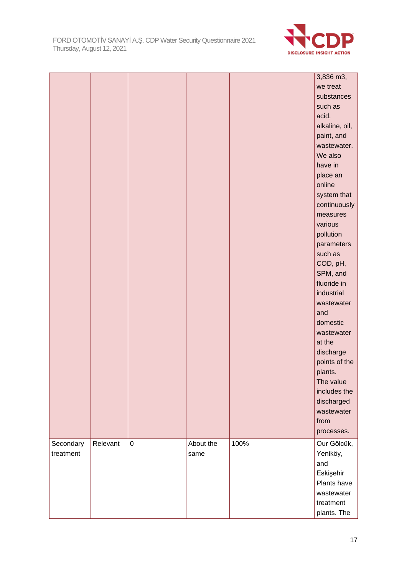

|                        |          |             |                   |      | 3,836 m3,<br>we treat<br>substances<br>such as<br>acid,<br>alkaline, oil,<br>paint, and<br>wastewater.<br>We also<br>have in<br>place an<br>online<br>system that<br>continuously<br>measures                                                                         |
|------------------------|----------|-------------|-------------------|------|-----------------------------------------------------------------------------------------------------------------------------------------------------------------------------------------------------------------------------------------------------------------------|
|                        |          |             |                   |      | various<br>pollution<br>parameters<br>such as<br>COD, pH,<br>SPM, and<br>fluoride in<br>industrial<br>wastewater<br>and<br>domestic<br>wastewater<br>at the<br>discharge<br>points of the<br>plants.<br>The value<br>includes the<br>discharged<br>wastewater<br>from |
| Secondary<br>treatment | Relevant | $\mathsf 0$ | About the<br>same | 100% | processes.<br>Our Gölcük,<br>Yeniköy,<br>and<br>Eskişehir<br>Plants have<br>wastewater<br>treatment<br>plants. The                                                                                                                                                    |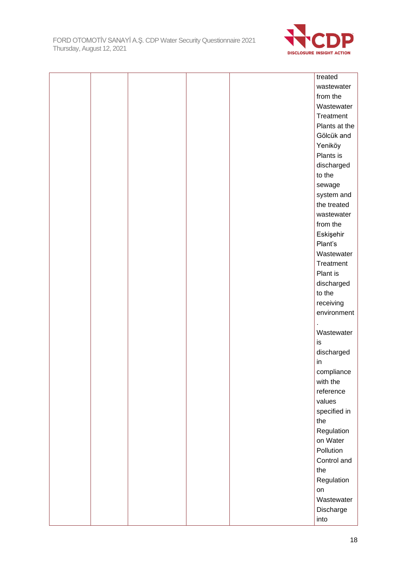

|  |  |  | treated       |
|--|--|--|---------------|
|  |  |  | wastewater    |
|  |  |  | from the      |
|  |  |  | Wastewater    |
|  |  |  | Treatment     |
|  |  |  | Plants at the |
|  |  |  | Gölcük and    |
|  |  |  | Yeniköy       |
|  |  |  | Plants is     |
|  |  |  | discharged    |
|  |  |  | to the        |
|  |  |  | sewage        |
|  |  |  | system and    |
|  |  |  | the treated   |
|  |  |  | wastewater    |
|  |  |  | from the      |
|  |  |  | Eskişehir     |
|  |  |  | Plant's       |
|  |  |  | Wastewater    |
|  |  |  | Treatment     |
|  |  |  | Plant is      |
|  |  |  | discharged    |
|  |  |  | to the        |
|  |  |  | receiving     |
|  |  |  | environment   |
|  |  |  |               |
|  |  |  | Wastewater    |
|  |  |  | is            |
|  |  |  | discharged    |
|  |  |  | in            |
|  |  |  | compliance    |
|  |  |  | with the      |
|  |  |  | reference     |
|  |  |  | values        |
|  |  |  | specified in  |
|  |  |  | the           |
|  |  |  | Regulation    |
|  |  |  | on Water      |
|  |  |  | Pollution     |
|  |  |  | Control and   |
|  |  |  | the           |
|  |  |  | Regulation    |
|  |  |  | on            |
|  |  |  | Wastewater    |
|  |  |  | Discharge     |
|  |  |  | into          |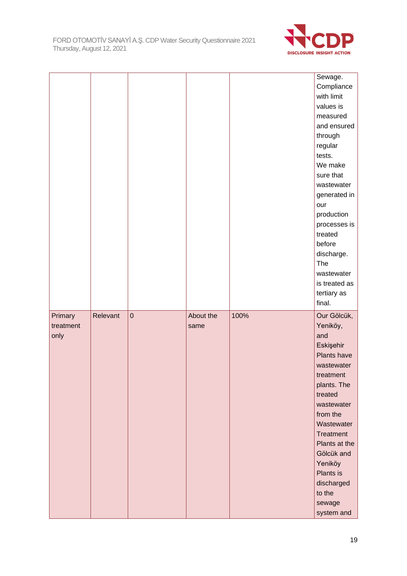

|           |          |             |           |      | Sewage.       |
|-----------|----------|-------------|-----------|------|---------------|
|           |          |             |           |      | Compliance    |
|           |          |             |           |      | with limit    |
|           |          |             |           |      | values is     |
|           |          |             |           |      | measured      |
|           |          |             |           |      | and ensured   |
|           |          |             |           |      | through       |
|           |          |             |           |      | regular       |
|           |          |             |           |      | tests.        |
|           |          |             |           |      | We make       |
|           |          |             |           |      | sure that     |
|           |          |             |           |      | wastewater    |
|           |          |             |           |      | generated in  |
|           |          |             |           |      | our           |
|           |          |             |           |      | production    |
|           |          |             |           |      | processes is  |
|           |          |             |           |      | treated       |
|           |          |             |           |      | before        |
|           |          |             |           |      | discharge.    |
|           |          |             |           |      | The           |
|           |          |             |           |      | wastewater    |
|           |          |             |           |      | is treated as |
|           |          |             |           |      | tertiary as   |
|           |          |             |           |      | final.        |
| Primary   | Relevant | $\mathbf 0$ | About the | 100% | Our Gölcük,   |
| treatment |          |             | same      |      | Yeniköy,      |
| only      |          |             |           |      | and           |
|           |          |             |           |      | Eskişehir     |
|           |          |             |           |      | Plants have   |
|           |          |             |           |      | wastewater    |
|           |          |             |           |      | treatment     |
|           |          |             |           |      |               |
|           |          |             |           |      | plants. The   |
|           |          |             |           |      | treated       |
|           |          |             |           |      | wastewater    |
|           |          |             |           |      | from the      |
|           |          |             |           |      | Wastewater    |
|           |          |             |           |      | Treatment     |
|           |          |             |           |      | Plants at the |
|           |          |             |           |      | Gölcük and    |
|           |          |             |           |      | Yeniköy       |
|           |          |             |           |      | Plants is     |
|           |          |             |           |      | discharged    |
|           |          |             |           |      | to the        |
|           |          |             |           |      | sewage        |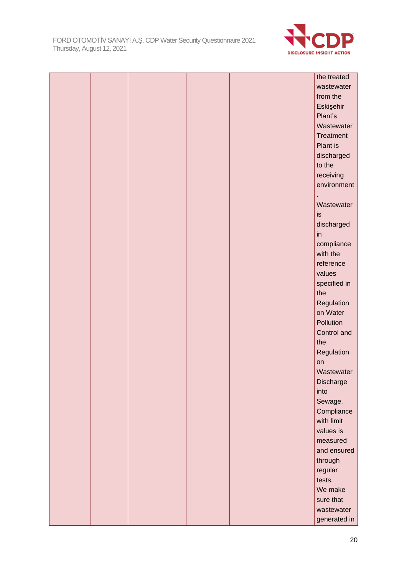

|  |  |  | the treated        |
|--|--|--|--------------------|
|  |  |  | wastewater         |
|  |  |  | from the           |
|  |  |  | Eskişehir          |
|  |  |  | Plant's            |
|  |  |  | Wastewater         |
|  |  |  | <b>Treatment</b>   |
|  |  |  | Plant is           |
|  |  |  | discharged         |
|  |  |  | to the             |
|  |  |  | receiving          |
|  |  |  | environment        |
|  |  |  |                    |
|  |  |  | Wastewater         |
|  |  |  | is                 |
|  |  |  | discharged         |
|  |  |  | in                 |
|  |  |  | compliance         |
|  |  |  | with the           |
|  |  |  | reference          |
|  |  |  | values             |
|  |  |  | specified in       |
|  |  |  | the                |
|  |  |  | Regulation         |
|  |  |  | on Water           |
|  |  |  | Pollution          |
|  |  |  |                    |
|  |  |  | Control and<br>the |
|  |  |  |                    |
|  |  |  | Regulation         |
|  |  |  | on<br>Wastewater   |
|  |  |  |                    |
|  |  |  | Discharge          |
|  |  |  | into               |
|  |  |  | Sewage.            |
|  |  |  | Compliance         |
|  |  |  | with limit         |
|  |  |  | values is          |
|  |  |  | measured           |
|  |  |  | and ensured        |
|  |  |  | through            |
|  |  |  | regular            |
|  |  |  | tests.             |
|  |  |  | We make            |
|  |  |  | sure that          |
|  |  |  | wastewater         |
|  |  |  | generated in       |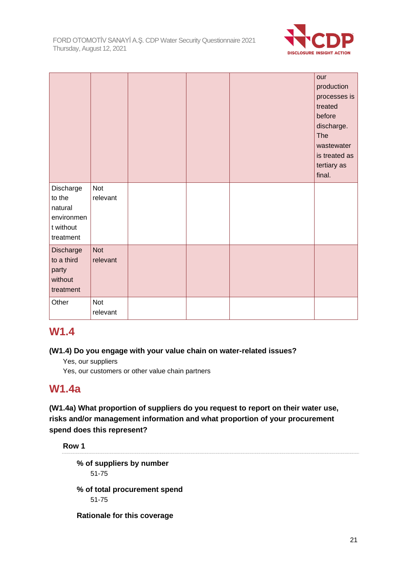

|                                                                        |                        |  | our<br>production<br>processes is<br>treated<br>before<br>discharge.<br><b>The</b><br>wastewater<br>is treated as<br>tertiary as<br>final. |
|------------------------------------------------------------------------|------------------------|--|--------------------------------------------------------------------------------------------------------------------------------------------|
| Discharge<br>to the<br>natural<br>environmen<br>t without<br>treatment | Not<br>relevant        |  |                                                                                                                                            |
| Discharge<br>to a third<br>party<br>without<br>treatment               | <b>Not</b><br>relevant |  |                                                                                                                                            |
| Other                                                                  | Not<br>relevant        |  |                                                                                                                                            |

# **W1.4**

### **(W1.4) Do you engage with your value chain on water-related issues?**

Yes, our suppliers

Yes, our customers or other value chain partners

# **W1.4a**

**(W1.4a) What proportion of suppliers do you request to report on their water use, risks and/or management information and what proportion of your procurement spend does this represent?**

**Row 1**

**% of suppliers by number** 51-75 **% of total procurement spend**

51-75

**Rationale for this coverage**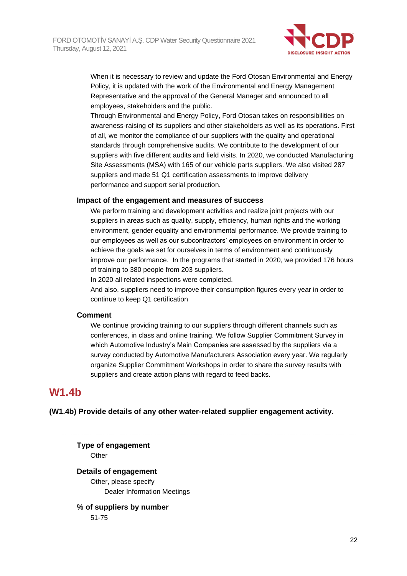

When it is necessary to review and update the Ford Otosan Environmental and Energy Policy, it is updated with the work of the Environmental and Energy Management Representative and the approval of the General Manager and announced to all employees, stakeholders and the public.

Through Environmental and Energy Policy, Ford Otosan takes on responsibilities on awareness-raising of its suppliers and other stakeholders as well as its operations. First of all, we monitor the compliance of our suppliers with the quality and operational standards through comprehensive audits. We contribute to the development of our suppliers with five different audits and field visits. In 2020, we conducted Manufacturing Site Assessments (MSA) with 165 of our vehicle parts suppliers. We also visited 287 suppliers and made 51 Q1 certification assessments to improve delivery performance and support serial production.

#### **Impact of the engagement and measures of success**

We perform training and development activities and realize joint projects with our suppliers in areas such as quality, supply, efficiency, human rights and the working environment, gender equality and environmental performance. We provide training to our employees as well as our subcontractors' employees on environment in order to achieve the goals we set for ourselves in terms of environment and continuously improve our performance. In the programs that started in 2020, we provided 176 hours of training to 380 people from 203 suppliers.

In 2020 all related inspections were completed.

And also, suppliers need to improve their consumption figures every year in order to continue to keep Q1 certification

#### **Comment**

We continue providing training to our suppliers through different channels such as conferences, in class and online training. We follow Supplier Commitment Survey in which Automotive Industry's Main Companies are assessed by the suppliers via a survey conducted by Automotive Manufacturers Association every year. We regularly organize Supplier Commitment Workshops in order to share the survey results with suppliers and create action plans with regard to feed backs.

### **W1.4b**

**(W1.4b) Provide details of any other water-related supplier engagement activity.**

**Type of engagement Other Details of engagement** Other, please specify Dealer Information Meetings **% of suppliers by number** 51-75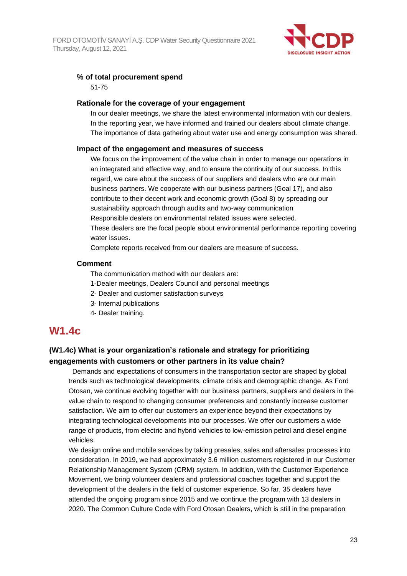

#### **% of total procurement spend**

51-75

#### **Rationale for the coverage of your engagement**

In our dealer meetings, we share the latest environmental information with our dealers. In the reporting year, we have informed and trained our dealers about climate change. The importance of data gathering about water use and energy consumption was shared.

#### **Impact of the engagement and measures of success**

We focus on the improvement of the value chain in order to manage our operations in an integrated and effective way, and to ensure the continuity of our success. In this regard, we care about the success of our suppliers and dealers who are our main business partners. We cooperate with our business partners (Goal 17), and also contribute to their decent work and economic growth (Goal 8) by spreading our sustainability approach through audits and two-way communication Responsible dealers on environmental related issues were selected. These dealers are the focal people about environmental performance reporting covering water issues.

Complete reports received from our dealers are measure of success.

### **Comment**

The communication method with our dealers are:

- 1-Dealer meetings, Dealers Council and personal meetings
- 2- Dealer and customer satisfaction surveys
- 3- Internal publications
- 4- Dealer training.

# **W1.4c**

### **(W1.4c) What is your organization's rationale and strategy for prioritizing engagements with customers or other partners in its value chain?**

 Demands and expectations of consumers in the transportation sector are shaped by global trends such as technological developments, climate crisis and demographic change. As Ford Otosan, we continue evolving together with our business partners, suppliers and dealers in the value chain to respond to changing consumer preferences and constantly increase customer satisfaction. We aim to offer our customers an experience beyond their expectations by integrating technological developments into our processes. We offer our customers a wide range of products, from electric and hybrid vehicles to low-emission petrol and diesel engine vehicles.

We design online and mobile services by taking presales, sales and aftersales processes into consideration. In 2019, we had approximately 3.6 million customers registered in our Customer Relationship Management System (CRM) system. In addition, with the Customer Experience Movement, we bring volunteer dealers and professional coaches together and support the development of the dealers in the field of customer experience. So far, 35 dealers have attended the ongoing program since 2015 and we continue the program with 13 dealers in 2020. The Common Culture Code with Ford Otosan Dealers, which is still in the preparation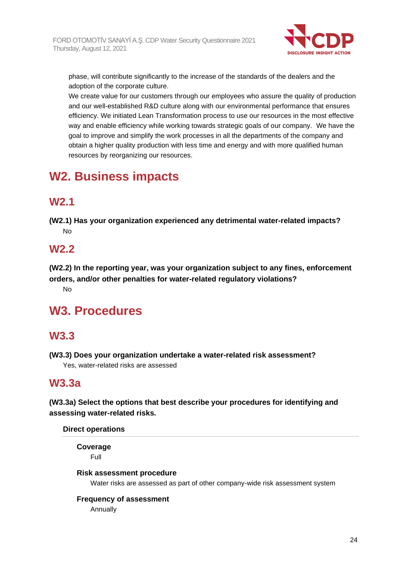

phase, will contribute significantly to the increase of the standards of the dealers and the adoption of the corporate culture.

We create value for our customers through our employees who assure the quality of production and our well-established R&D culture along with our environmental performance that ensures efficiency. We initiated Lean Transformation process to use our resources in the most effective way and enable efficiency while working towards strategic goals of our company. We have the goal to improve and simplify the work processes in all the departments of the company and obtain a higher quality production with less time and energy and with more qualified human resources by reorganizing our resources.

# **W2. Business impacts**

# **W2.1**

**(W2.1) Has your organization experienced any detrimental water-related impacts?** No

## **W2.2**

**(W2.2) In the reporting year, was your organization subject to any fines, enforcement orders, and/or other penalties for water-related regulatory violations?** No

# **W3. Procedures**

# **W3.3**

**(W3.3) Does your organization undertake a water-related risk assessment?** Yes, water-related risks are assessed

# **W3.3a**

**(W3.3a) Select the options that best describe your procedures for identifying and assessing water-related risks.**

### **Direct operations**

**Coverage**

Full

### **Risk assessment procedure**

Water risks are assessed as part of other company-wide risk assessment system

### **Frequency of assessment**

Annually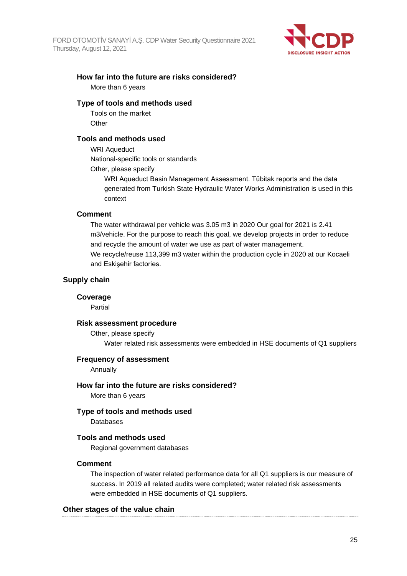

#### **How far into the future are risks considered?**

More than 6 years

#### **Type of tools and methods used**

Tools on the market **Other** 

#### **Tools and methods used**

WRI Aqueduct

National-specific tools or standards

Other, please specify

WRI Aqueduct Basin Management Assessment. Tübitak reports and the data generated from Turkish State Hydraulic Water Works Administration is used in this context

#### **Comment**

The water withdrawal per vehicle was 3.05 m3 in 2020 Our goal for 2021 is 2.41 m3/vehicle. For the purpose to reach this goal, we develop projects in order to reduce and recycle the amount of water we use as part of water management. We recycle/reuse 113,399 m3 water within the production cycle in 2020 at our Kocaeli and Eskişehir factories.

#### **Supply chain**

#### **Coverage**

Partial

#### **Risk assessment procedure**

Other, please specify

Water related risk assessments were embedded in HSE documents of Q1 suppliers

#### **Frequency of assessment**

Annually

#### **How far into the future are risks considered?**

More than 6 years

#### **Type of tools and methods used**

Databases

#### **Tools and methods used**

Regional government databases

#### **Comment**

The inspection of water related performance data for all Q1 suppliers is our measure of success. In 2019 all related audits were completed; water related risk assessments were embedded in HSE documents of Q1 suppliers.

#### **Other stages of the value chain**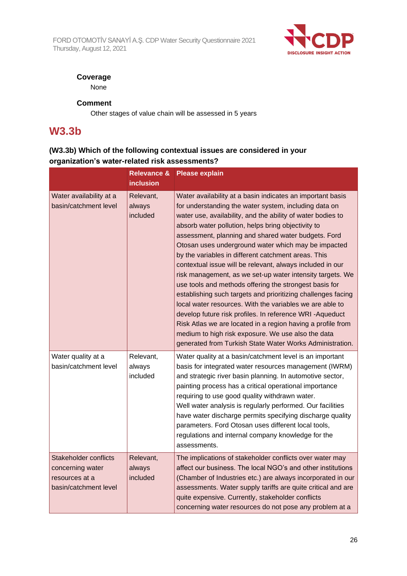

### **Coverage**

None

### **Comment**

Other stages of value chain will be assessed in 5 years

# **W3.3b**

### **(W3.3b) Which of the following contextual issues are considered in your organization's water-related risk assessments?**

|                                                                                      | <b>Relevance &amp;</b><br><b>inclusion</b> | <b>Please explain</b>                                                                                                                                                                                                                                                                                                                                                                                                                                                                                                                                                                                                                                                                                                                                                                                                                                                                                                                                                     |
|--------------------------------------------------------------------------------------|--------------------------------------------|---------------------------------------------------------------------------------------------------------------------------------------------------------------------------------------------------------------------------------------------------------------------------------------------------------------------------------------------------------------------------------------------------------------------------------------------------------------------------------------------------------------------------------------------------------------------------------------------------------------------------------------------------------------------------------------------------------------------------------------------------------------------------------------------------------------------------------------------------------------------------------------------------------------------------------------------------------------------------|
| Water availability at a<br>basin/catchment level                                     | Relevant,<br>always<br>included            | Water availability at a basin indicates an important basis<br>for understanding the water system, including data on<br>water use, availability, and the ability of water bodies to<br>absorb water pollution, helps bring objectivity to<br>assessment, planning and shared water budgets. Ford<br>Otosan uses underground water which may be impacted<br>by the variables in different catchment areas. This<br>contextual issue will be relevant, always included in our<br>risk management, as we set-up water intensity targets. We<br>use tools and methods offering the strongest basis for<br>establishing such targets and prioritizing challenges facing<br>local water resources. With the variables we are able to<br>develop future risk profiles. In reference WRI-Aqueduct<br>Risk Atlas we are located in a region having a profile from<br>medium to high risk exposure. We use also the data<br>generated from Turkish State Water Works Administration. |
| Water quality at a<br>basin/catchment level                                          | Relevant,<br>always<br>included            | Water quality at a basin/catchment level is an important<br>basis for integrated water resources management (IWRM)<br>and strategic river basin planning. In automotive sector,<br>painting process has a critical operational importance<br>requiring to use good quality withdrawn water.<br>Well water analysis is regularly performed. Our facilities<br>have water discharge permits specifying discharge quality<br>parameters. Ford Otosan uses different local tools,<br>regulations and internal company knowledge for the<br>assessments.                                                                                                                                                                                                                                                                                                                                                                                                                       |
| Stakeholder conflicts<br>concerning water<br>resources at a<br>basin/catchment level | Relevant,<br>always<br>included            | The implications of stakeholder conflicts over water may<br>affect our business. The local NGO's and other institutions<br>(Chamber of Industries etc.) are always incorporated in our<br>assessments. Water supply tariffs are quite critical and are<br>quite expensive. Currently, stakeholder conflicts<br>concerning water resources do not pose any problem at a                                                                                                                                                                                                                                                                                                                                                                                                                                                                                                                                                                                                    |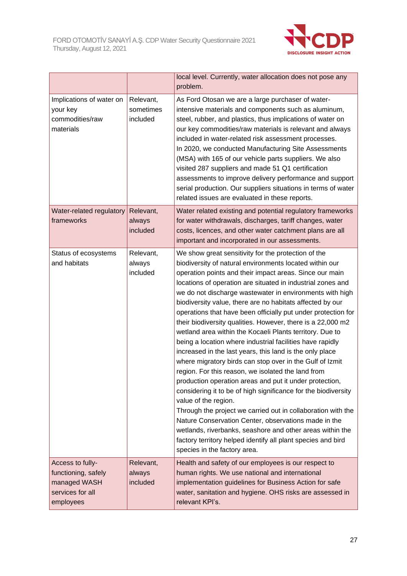

|                                                                                          |                                    | local level. Currently, water allocation does not pose any<br>problem.                                                                                                                                                                                                                                                                                                                                                                                                                                                                                                                                                                                                                                                                                                                                                                                                                                                                                                                                                                                                                                                                                                                                                                             |
|------------------------------------------------------------------------------------------|------------------------------------|----------------------------------------------------------------------------------------------------------------------------------------------------------------------------------------------------------------------------------------------------------------------------------------------------------------------------------------------------------------------------------------------------------------------------------------------------------------------------------------------------------------------------------------------------------------------------------------------------------------------------------------------------------------------------------------------------------------------------------------------------------------------------------------------------------------------------------------------------------------------------------------------------------------------------------------------------------------------------------------------------------------------------------------------------------------------------------------------------------------------------------------------------------------------------------------------------------------------------------------------------|
| Implications of water on<br>your key<br>commodities/raw<br>materials                     | Relevant,<br>sometimes<br>included | As Ford Otosan we are a large purchaser of water-<br>intensive materials and components such as aluminum,<br>steel, rubber, and plastics, thus implications of water on<br>our key commodities/raw materials is relevant and always<br>included in water-related risk assessment processes.<br>In 2020, we conducted Manufacturing Site Assessments<br>(MSA) with 165 of our vehicle parts suppliers. We also<br>visited 287 suppliers and made 51 Q1 certification<br>assessments to improve delivery performance and support<br>serial production. Our suppliers situations in terms of water<br>related issues are evaluated in these reports.                                                                                                                                                                                                                                                                                                                                                                                                                                                                                                                                                                                                  |
| Water-related regulatory<br>frameworks                                                   | Relevant,<br>always<br>included    | Water related existing and potential regulatory frameworks<br>for water withdrawals, discharges, tariff changes, water<br>costs, licences, and other water catchment plans are all<br>important and incorporated in our assessments.                                                                                                                                                                                                                                                                                                                                                                                                                                                                                                                                                                                                                                                                                                                                                                                                                                                                                                                                                                                                               |
| Status of ecosystems<br>and habitats                                                     | Relevant,<br>always<br>included    | We show great sensitivity for the protection of the<br>biodiversity of natural environments located within our<br>operation points and their impact areas. Since our main<br>locations of operation are situated in industrial zones and<br>we do not discharge wastewater in environments with high<br>biodiversity value, there are no habitats affected by our<br>operations that have been officially put under protection for<br>their biodiversity qualities. However, there is a 22,000 m2<br>wetland area within the Kocaeli Plants territory. Due to<br>being a location where industrial facilities have rapidly<br>increased in the last years, this land is the only place<br>where migratory birds can stop over in the Gulf of Izmit<br>region. For this reason, we isolated the land from<br>production operation areas and put it under protection,<br>considering it to be of high significance for the biodiversity<br>value of the region.<br>Through the project we carried out in collaboration with the<br>Nature Conservation Center, observations made in the<br>wetlands, riverbanks, seashore and other areas within the<br>factory territory helped identify all plant species and bird<br>species in the factory area. |
| Access to fully-<br>functioning, safely<br>managed WASH<br>services for all<br>employees | Relevant,<br>always<br>included    | Health and safety of our employees is our respect to<br>human rights. We use national and international<br>implementation guidelines for Business Action for safe<br>water, sanitation and hygiene. OHS risks are assessed in<br>relevant KPI's.                                                                                                                                                                                                                                                                                                                                                                                                                                                                                                                                                                                                                                                                                                                                                                                                                                                                                                                                                                                                   |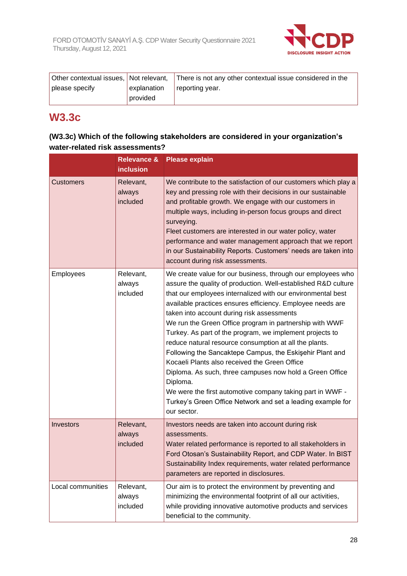

|                  |             | Other contextual issues, Not relevant, There is not any other contextual issue considered in the |
|------------------|-------------|--------------------------------------------------------------------------------------------------|
| I please specify | explanation | reporting year.                                                                                  |
|                  | provided    |                                                                                                  |

# **W3.3c**

### **(W3.3c) Which of the following stakeholders are considered in your organization's water-related risk assessments?**

|                   | <b>Relevance &amp;</b><br><b>inclusion</b> | <b>Please explain</b>                                                                                                                                                                                                                                                                                                                                                                                                                                                                                                                                                                                                                                                                                                                                                                                                     |
|-------------------|--------------------------------------------|---------------------------------------------------------------------------------------------------------------------------------------------------------------------------------------------------------------------------------------------------------------------------------------------------------------------------------------------------------------------------------------------------------------------------------------------------------------------------------------------------------------------------------------------------------------------------------------------------------------------------------------------------------------------------------------------------------------------------------------------------------------------------------------------------------------------------|
| <b>Customers</b>  | Relevant,<br>always<br>included            | We contribute to the satisfaction of our customers which play a<br>key and pressing role with their decisions in our sustainable<br>and profitable growth. We engage with our customers in<br>multiple ways, including in-person focus groups and direct<br>surveying.<br>Fleet customers are interested in our water policy, water<br>performance and water management approach that we report<br>in our Sustainability Reports. Customers' needs are taken into<br>account during risk assessments.                                                                                                                                                                                                                                                                                                                     |
| Employees         | Relevant,<br>always<br>included            | We create value for our business, through our employees who<br>assure the quality of production. Well-established R&D culture<br>that our employees internalized with our environmental best<br>available practices ensures efficiency. Employee needs are<br>taken into account during risk assessments<br>We run the Green Office program in partnership with WWF<br>Turkey. As part of the program, we implement projects to<br>reduce natural resource consumption at all the plants.<br>Following the Sancaktepe Campus, the Eskişehir Plant and<br>Kocaeli Plants also received the Green Office<br>Diploma. As such, three campuses now hold a Green Office<br>Diploma.<br>We were the first automotive company taking part in WWF -<br>Turkey's Green Office Network and set a leading example for<br>our sector. |
| Investors         | Relevant,<br>always<br>included            | Investors needs are taken into account during risk<br>assessments.<br>Water related performance is reported to all stakeholders in<br>Ford Otosan's Sustainability Report, and CDP Water. In BIST<br>Sustainability Index requirements, water related performance<br>parameters are reported in disclosures.                                                                                                                                                                                                                                                                                                                                                                                                                                                                                                              |
| Local communities | Relevant,<br>always<br>included            | Our aim is to protect the environment by preventing and<br>minimizing the environmental footprint of all our activities,<br>while providing innovative automotive products and services<br>beneficial to the community.                                                                                                                                                                                                                                                                                                                                                                                                                                                                                                                                                                                                   |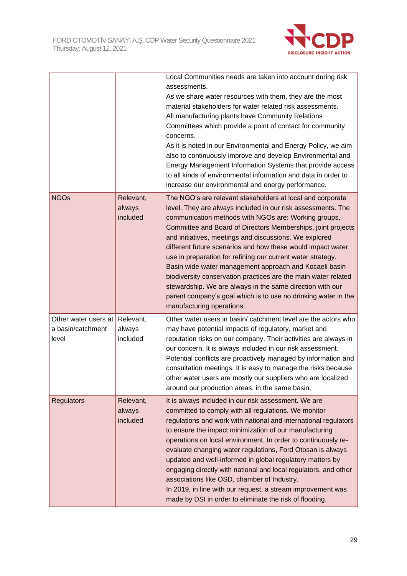

|                                                    |                                 | Local Communities needs are taken into account during risk<br>assessments.<br>As we share water resources with them, they are the most<br>material stakeholders for water related risk assessments.<br>All manufacturing plants have Community Relations<br>Committees which provide a point of contact for community<br>concerns.<br>As it is noted in our Environmental and Energy Policy, we aim<br>also to continuously improve and develop Environmental and<br>Energy Management Information Systems that provide access<br>to all kinds of environmental information and data in order to<br>increase our environmental and energy performance.                                                                             |
|----------------------------------------------------|---------------------------------|------------------------------------------------------------------------------------------------------------------------------------------------------------------------------------------------------------------------------------------------------------------------------------------------------------------------------------------------------------------------------------------------------------------------------------------------------------------------------------------------------------------------------------------------------------------------------------------------------------------------------------------------------------------------------------------------------------------------------------|
| <b>NGOs</b>                                        | Relevant,<br>always<br>included | The NGO's are relevant stakeholders at local and corporate<br>level. They are always included in our risk assessments. The<br>communication methods with NGOs are: Working groups,<br>Committee and Board of Directors Memberships, joint projects<br>and initiatives, meetings and discussions. We explored<br>different future scenarios and how these would impact water<br>use in preparation for refining our current water strategy.<br>Basin wide water management approach and Kocaeli basin<br>biodiversity conservation practices are the main water related<br>stewardship. We are always in the same direction with our<br>parent company's goal which is to use no drinking water in the<br>manufacturing operations. |
| Other water users at<br>a basin/catchment<br>level | Relevant,<br>always<br>included | Other water users in basin/ catchment level are the actors who<br>may have potential impacts of regulatory, market and<br>reputation risks on our company. Their activities are always in<br>our concern. It is always included in our risk assessment.<br>Potential conflicts are proactively managed by information and<br>consultation meetings. It is easy to manage the risks because<br>other water users are mostly our suppliers who are localized<br>around our production areas, in the same basin.                                                                                                                                                                                                                      |
| <b>Regulators</b>                                  | Relevant,<br>always<br>included | It is always included in our risk assessment. We are<br>committed to comply with all regulations. We monitor<br>regulations and work with national and international regulators<br>to ensure the impact minimization of our manufacturing<br>operations on local environment. In order to continuously re-<br>evaluate changing water regulations, Ford Otosan is always<br>updated and well-informed in global regulatory matters by<br>engaging directly with national and local regulators, and other<br>associations like OSD, chamber of Industry.<br>In 2019, in line with our request, a stream improvement was<br>made by DSI in order to eliminate the risk of flooding.                                                  |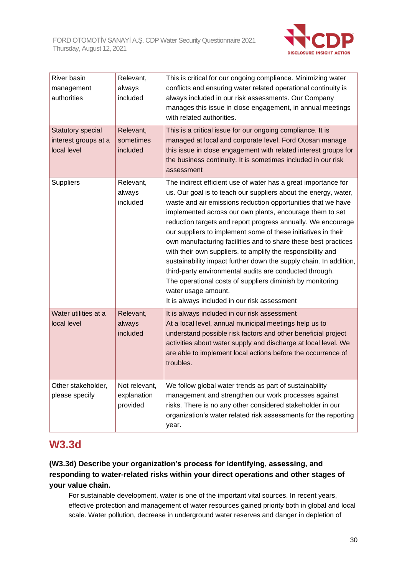

| <b>River basin</b><br>management<br>authorities                 | Relevant,<br>always<br>included          | This is critical for our ongoing compliance. Minimizing water<br>conflicts and ensuring water related operational continuity is<br>always included in our risk assessments. Our Company<br>manages this issue in close engagement, in annual meetings<br>with related authorities.                                                                                                                                                                                                                                                                                                                                                                                                                                                                                                                  |
|-----------------------------------------------------------------|------------------------------------------|-----------------------------------------------------------------------------------------------------------------------------------------------------------------------------------------------------------------------------------------------------------------------------------------------------------------------------------------------------------------------------------------------------------------------------------------------------------------------------------------------------------------------------------------------------------------------------------------------------------------------------------------------------------------------------------------------------------------------------------------------------------------------------------------------------|
| <b>Statutory special</b><br>interest groups at a<br>local level | Relevant,<br>sometimes<br>included       | This is a critical issue for our ongoing compliance. It is<br>managed at local and corporate level. Ford Otosan manage<br>this issue in close engagement with related interest groups for<br>the business continuity. It is sometimes included in our risk<br>assessment                                                                                                                                                                                                                                                                                                                                                                                                                                                                                                                            |
| <b>Suppliers</b>                                                | Relevant,<br>always<br>included          | The indirect efficient use of water has a great importance for<br>us. Our goal is to teach our suppliers about the energy, water,<br>waste and air emissions reduction opportunities that we have<br>implemented across our own plants, encourage them to set<br>reduction targets and report progress annually. We encourage<br>our suppliers to implement some of these initiatives in their<br>own manufacturing facilities and to share these best practices<br>with their own suppliers, to amplify the responsibility and<br>sustainability impact further down the supply chain. In addition,<br>third-party environmental audits are conducted through.<br>The operational costs of suppliers diminish by monitoring<br>water usage amount.<br>It is always included in our risk assessment |
| Water utilities at a<br>local level                             | Relevant,<br>always<br>included          | It is always included in our risk assessment<br>At a local level, annual municipal meetings help us to<br>understand possible risk factors and other beneficial project<br>activities about water supply and discharge at local level. We<br>are able to implement local actions before the occurrence of<br>troubles.                                                                                                                                                                                                                                                                                                                                                                                                                                                                              |
| Other stakeholder,<br>please specify                            | Not relevant,<br>explanation<br>provided | We follow global water trends as part of sustainability<br>management and strengthen our work processes against<br>risks. There is no any other considered stakeholder in our<br>organization's water related risk assessments for the reporting<br>year.                                                                                                                                                                                                                                                                                                                                                                                                                                                                                                                                           |

# **W3.3d**

### **(W3.3d) Describe your organization's process for identifying, assessing, and responding to water-related risks within your direct operations and other stages of your value chain.**

For sustainable development, water is one of the important vital sources. In recent years, effective protection and management of water resources gained priority both in global and local scale. Water pollution, decrease in underground water reserves and danger in depletion of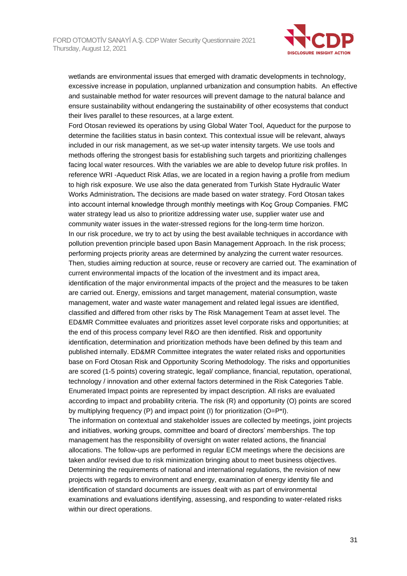

wetlands are environmental issues that emerged with dramatic developments in technology, excessive increase in population, unplanned urbanization and consumption habits. An effective and sustainable method for water resources will prevent damage to the natural balance and ensure sustainability without endangering the sustainability of other ecosystems that conduct their lives parallel to these resources, at a large extent.

Ford Otosan reviewed its operations by using Global Water Tool, Aqueduct for the purpose to determine the facilities status in basin context. This contextual issue will be relevant, always included in our risk management, as we set-up water intensity targets. We use tools and methods offering the strongest basis for establishing such targets and prioritizing challenges facing local water resources. With the variables we are able to develop future risk profiles. In reference WRI -Aqueduct Risk Atlas, we are located in a region having a profile from medium to high risk exposure. We use also the data generated from Turkish State Hydraulic Water Works Administration**.** The decisions are made based on water strategy. Ford Otosan takes into account internal knowledge through monthly meetings with Koç Group Companies. FMC water strategy lead us also to prioritize addressing water use, supplier water use and community water issues in the water-stressed regions for the long-term time horizon. In our risk procedure, we try to act by using the best available techniques in accordance with pollution prevention principle based upon Basin Management Approach. In the risk process; performing projects priority areas are determined by analyzing the current water resources. Then, studies aiming reduction at source, reuse or recovery are carried out. The examination of current environmental impacts of the location of the investment and its impact area, identification of the major environmental impacts of the project and the measures to be taken are carried out. Energy, emissions and target management, material consumption, waste management, water and waste water management and related legal issues are identified, classified and differed from other risks by The Risk Management Team at asset level. The ED&MR Committee evaluates and prioritizes asset level corporate risks and opportunities; at the end of this process company level R&O are then identified. Risk and opportunity identification, determination and prioritization methods have been defined by this team and published internally. ED&MR Committee integrates the water related risks and opportunities base on Ford Otosan Risk and Opportunity Scoring Methodology. The risks and opportunities are scored (1-5 points) covering strategic, legal/ compliance, financial, reputation, operational, technology / innovation and other external factors determined in the Risk Categories Table. Enumerated Impact points are represented by impact description. All risks are evaluated according to impact and probability criteria. The risk (R) and opportunity (O) points are scored by multiplying frequency (P) and impact point (I) for prioritization (O=P\*I). The information on contextual and stakeholder issues are collected by meetings, joint projects and initiatives, working groups, committee and board of directors' memberships. The top management has the responsibility of oversight on water related actions, the financial allocations. The follow-ups are performed in regular ECM meetings where the decisions are taken and/or revised due to risk minimization bringing about to meet business objectives. Determining the requirements of national and international regulations, the revision of new projects with regards to environment and energy, examination of energy identity file and identification of standard documents are issues dealt with as part of environmental examinations and evaluations identifying, assessing, and responding to water-related risks within our direct operations.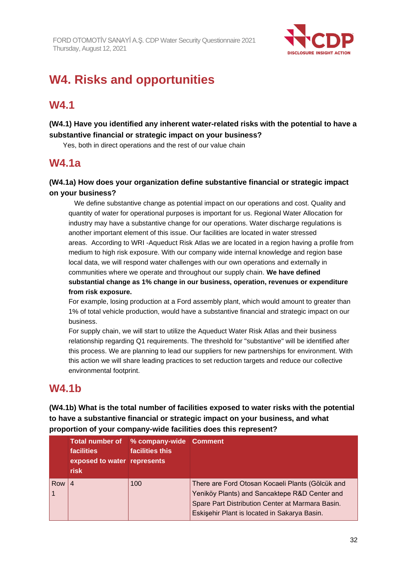

# **W4. Risks and opportunities**

# **W4.1**

### **(W4.1) Have you identified any inherent water-related risks with the potential to have a substantive financial or strategic impact on your business?**

Yes, both in direct operations and the rest of our value chain

## **W4.1a**

### **(W4.1a) How does your organization define substantive financial or strategic impact on your business?**

We define substantive change as potential impact on our operations and cost. Quality and quantity of water for operational purposes is important for us. Regional Water Allocation for industry may have a substantive change for our operations. Water discharge regulations is another important element of this issue. Our facilities are located in water stressed areas. According to WRI -Aqueduct Risk Atlas we are located in a region having a profile from medium to high risk exposure. With our company wide internal knowledge and region base local data, we will respond water challenges with our own operations and externally in communities where we operate and throughout our supply chain. **We have defined substantial change as 1% change in our business, operation, revenues or expenditure from risk exposure.**

For example, losing production at a Ford assembly plant, which would amount to greater than 1% of total vehicle production, would have a substantive financial and strategic impact on our business.

For supply chain, we will start to utilize the Aqueduct Water Risk Atlas and their business relationship regarding Q1 requirements. The threshold for "substantive" will be identified after this process. We are planning to lead our suppliers for new partnerships for environment. With this action we will share leading practices to set reduction targets and reduce our collective environmental footprint.

# **W4.1b**

**(W4.1b) What is the total number of facilities exposed to water risks with the potential to have a substantive financial or strategic impact on your business, and what proportion of your company-wide facilities does this represent?**

|     | <b>Total number of</b><br><b>facilities</b><br>exposed to water represents<br><b>risk</b> | % company-wide Comment<br>facilities this |                                                                                                                                                                                                       |
|-----|-------------------------------------------------------------------------------------------|-------------------------------------------|-------------------------------------------------------------------------------------------------------------------------------------------------------------------------------------------------------|
| Row |                                                                                           | 100                                       | There are Ford Otosan Kocaeli Plants (Gölcük and<br>Yeniköy Plants) and Sancaktepe R&D Center and<br>Spare Part Distribution Center at Marmara Basin.<br>Eskişehir Plant is located in Sakarya Basin. |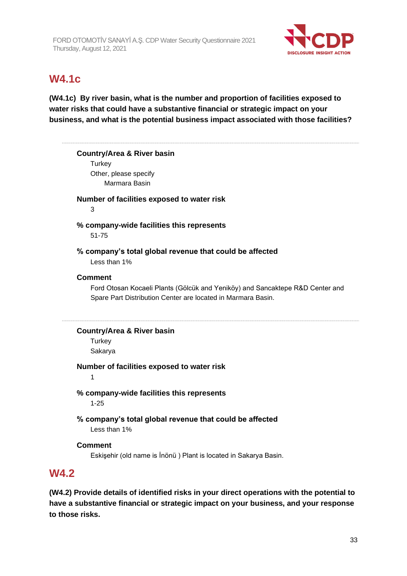

# **W4.1c**

**(W4.1c) By river basin, what is the number and proportion of facilities exposed to water risks that could have a substantive financial or strategic impact on your business, and what is the potential business impact associated with those facilities?**

#### **Country/Area & River basin**

**Turkey** Other, please specify Marmara Basin

# **Number of facilities exposed to water risk**

3

## **% company-wide facilities this represents**

51-75

#### **% company's total global revenue that could be affected** Less than 1%

### **Comment**

Ford Otosan Kocaeli Plants (Gölcük and Yeniköy) and Sancaktepe R&D Center and Spare Part Distribution Center are located in Marmara Basin.

### **Country/Area & River basin**

**Turkey** Sakarya

### **Number of facilities exposed to water risk**

1

#### **% company-wide facilities this represents** 1-25

**% company's total global revenue that could be affected** Less than 1%

#### **Comment**

Eskişehir (old name is İnönü ) Plant is located in Sakarya Basin.

# **W4.2**

**(W4.2) Provide details of identified risks in your direct operations with the potential to have a substantive financial or strategic impact on your business, and your response to those risks.**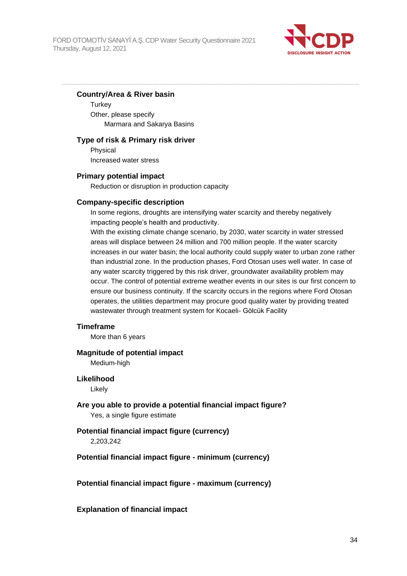

#### **Country/Area & River basin**

**Turkey** Other, please specify Marmara and Sakarya Basins

#### **Type of risk & Primary risk driver**

Physical Increased water stress

#### **Primary potential impact**

Reduction or disruption in production capacity

#### **Company-specific description**

In some regions, droughts are intensifying water scarcity and thereby negatively impacting people's health and productivity.

With the existing climate change scenario, by 2030, water scarcity in water stressed areas will displace between 24 million and 700 million people. If the water scarcity increases in our water basin; the local authority could supply water to urban zone rather than industrial zone. In the production phases, Ford Otosan uses well water. In case of any water scarcity triggered by this risk driver, groundwater availability problem may occur. The control of potential extreme weather events in our sites is our first concern to ensure our business continuity. If the scarcity occurs in the regions where Ford Otosan operates, the utilities department may procure good quality water by providing treated wastewater through treatment system for Kocaeli- Gölcük Facility

#### **Timeframe**

More than 6 years

#### **Magnitude of potential impact**

Medium-high

#### **Likelihood**

Likely

**Are you able to provide a potential financial impact figure?** Yes, a single figure estimate

#### **Potential financial impact figure (currency)**

2,203,242

#### **Potential financial impact figure - minimum (currency)**

**Potential financial impact figure - maximum (currency)**

#### **Explanation of financial impact**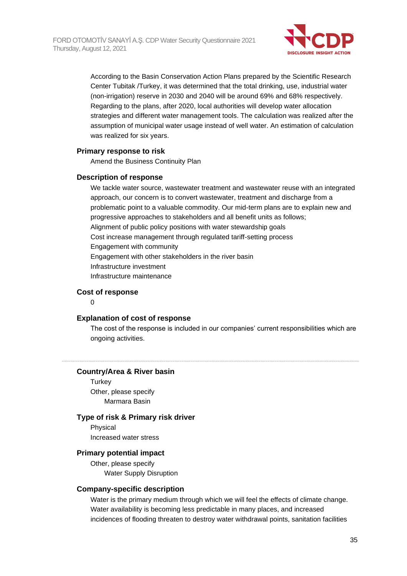

According to the Basin Conservation Action Plans prepared by the Scientific Research Center Tubitak /Turkey, it was determined that the total drinking, use, industrial water (non-irrigation) reserve in 2030 and 2040 will be around 69% and 68% respectively. Regarding to the plans, after 2020, local authorities will develop water allocation strategies and different water management tools. The calculation was realized after the assumption of municipal water usage instead of well water. An estimation of calculation was realized for six years.

#### **Primary response to risk**

Amend the Business Continuity Plan

#### **Description of response**

We tackle water source, wastewater treatment and wastewater reuse with an integrated approach, our concern is to convert wastewater, treatment and discharge from a problematic point to a valuable commodity. Our mid-term plans are to explain new and progressive approaches to stakeholders and all benefit units as follows; Alignment of public policy positions with water stewardship goals Cost increase management through regulated tariff-setting process Engagement with community Engagement with other stakeholders in the river basin Infrastructure investment Infrastructure maintenance

#### **Cost of response**

 $\Omega$ 

#### **Explanation of cost of response**

The cost of the response is included in our companies' current responsibilities which are ongoing activities.

#### **Country/Area & River basin**

**Turkey** Other, please specify Marmara Basin

#### **Type of risk & Primary risk driver**

Physical Increased water stress

#### **Primary potential impact**

Other, please specify Water Supply Disruption

#### **Company-specific description**

Water is the primary medium through which we will feel the effects of climate change. Water availability is becoming less predictable in many places, and increased incidences of flooding threaten to destroy water withdrawal points, sanitation facilities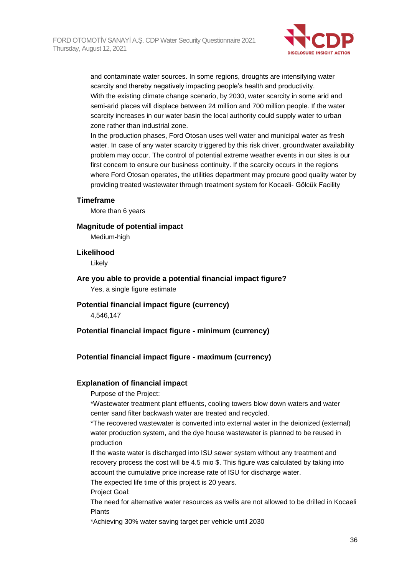

and contaminate water sources. In some regions, droughts are intensifying water scarcity and thereby negatively impacting people's health and productivity. With the existing climate change scenario, by 2030, water scarcity in some arid and semi-arid places will displace between 24 million and 700 million people. If the water scarcity increases in our water basin the local authority could supply water to urban zone rather than industrial zone.

In the production phases, Ford Otosan uses well water and municipal water as fresh water. In case of any water scarcity triggered by this risk driver, groundwater availability problem may occur. The control of potential extreme weather events in our sites is our first concern to ensure our business continuity. If the scarcity occurs in the regions where Ford Otosan operates, the utilities department may procure good quality water by providing treated wastewater through treatment system for Kocaeli- Gölcük Facility

#### **Timeframe**

More than 6 years

#### **Magnitude of potential impact**

Medium-high

#### **Likelihood**

Likely

- **Are you able to provide a potential financial impact figure?** Yes, a single figure estimate
- **Potential financial impact figure (currency)** 4,546,147
- **Potential financial impact figure - minimum (currency)**

#### **Potential financial impact figure - maximum (currency)**

#### **Explanation of financial impact**

Purpose of the Project:

\*Wastewater treatment plant effluents, cooling towers blow down waters and water center sand filter backwash water are treated and recycled.

\*The recovered wastewater is converted into external water in the deionized (external) water production system, and the dye house wastewater is planned to be reused in production

If the waste water is discharged into ISU sewer system without any treatment and recovery process the cost will be 4.5 mio \$. This figure was calculated by taking into account the cumulative price increase rate of ISU for discharge water.

The expected life time of this project is 20 years.

Project Goal:

The need for alternative water resources as wells are not allowed to be drilled in Kocaeli Plants

\*Achieving 30% water saving target per vehicle until 2030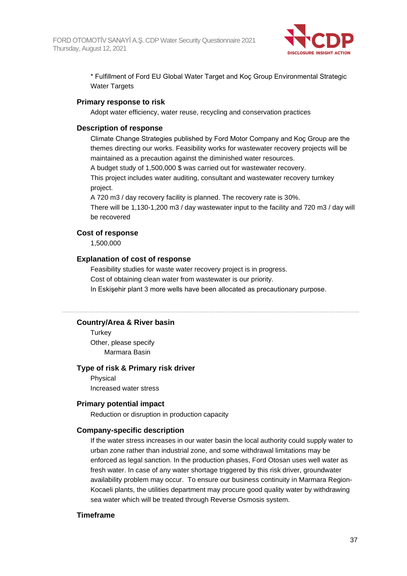

\* Fulfillment of Ford EU Global Water Target and Koç Group Environmental Strategic Water Targets

#### **Primary response to risk**

Adopt water efficiency, water reuse, recycling and conservation practices

#### **Description of response**

Climate Change Strategies published by Ford Motor Company and Koç Group are the themes directing our works. Feasibility works for wastewater recovery projects will be maintained as a precaution against the diminished water resources.

A budget study of 1,500,000 \$ was carried out for wastewater recovery.

This project includes water auditing, consultant and wastewater recovery turnkey project.

A 720 m3 / day recovery facility is planned. The recovery rate is 30%.

There will be 1,130-1,200 m3 / day wastewater input to the facility and 720 m3 / day will be recovered

#### **Cost of response**

1,500,000

#### **Explanation of cost of response**

Feasibility studies for waste water recovery project is in progress. Cost of obtaining clean water from wastewater is our priority. In Eskişehir plant 3 more wells have been allocated as precautionary purpose.

#### **Country/Area & River basin**

**Turkey** Other, please specify Marmara Basin

#### **Type of risk & Primary risk driver**

Physical Increased water stress

#### **Primary potential impact**

Reduction or disruption in production capacity

#### **Company-specific description**

If the water stress increases in our water basin the local authority could supply water to urban zone rather than industrial zone, and some withdrawal limitations may be enforced as legal sanction. In the production phases, Ford Otosan uses well water as fresh water. In case of any water shortage triggered by this risk driver, groundwater availability problem may occur. To ensure our business continuity in Marmara Region-Kocaeli plants, the utilities department may procure good quality water by withdrawing sea water which will be treated through Reverse Osmosis system.

#### **Timeframe**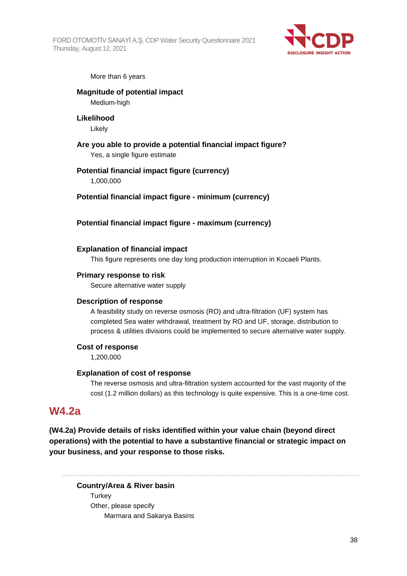

#### More than 6 years

#### **Magnitude of potential impact** Medium-high

### **Likelihood**

Likely

# **Are you able to provide a potential financial impact figure?**

Yes, a single figure estimate

### **Potential financial impact figure (currency)**

1,000,000

### **Potential financial impact figure - minimum (currency)**

### **Potential financial impact figure - maximum (currency)**

### **Explanation of financial impact**

This figure represents one day long production interruption in Kocaeli Plants.

#### **Primary response to risk**

Secure alternative water supply

#### **Description of response**

A feasibility study on reverse osmosis (RO) and ultra-filtration (UF) system has completed Sea water withdrawal, treatment by RO and UF, storage, distribution to process & utilities divisions could be implemented to secure alternative water supply.

#### **Cost of response**

1,200,000

#### **Explanation of cost of response**

The reverse osmosis and ultra-filtration system accounted for the vast majority of the cost (1.2 million dollars) as this technology is quite expensive. This is a one-time cost.

## **W4.2a**

**(W4.2a) Provide details of risks identified within your value chain (beyond direct operations) with the potential to have a substantive financial or strategic impact on your business, and your response to those risks.**

**Country/Area & River basin Turkey** Other, please specify Marmara and Sakarya Basins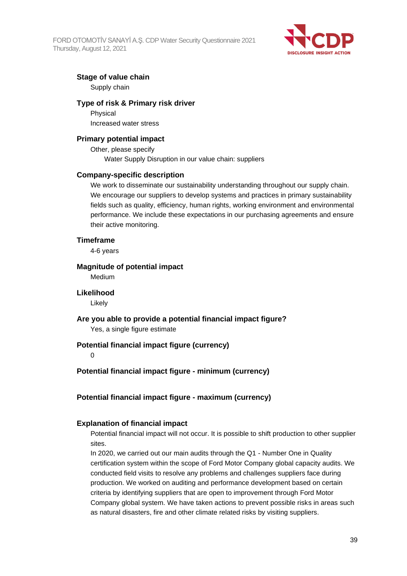

#### **Stage of value chain**

Supply chain

#### **Type of risk & Primary risk driver**

Physical Increased water stress

#### **Primary potential impact**

Other, please specify Water Supply Disruption in our value chain: suppliers

#### **Company-specific description**

We work to disseminate our sustainability understanding throughout our supply chain. We encourage our suppliers to develop systems and practices in primary sustainability fields such as quality, efficiency, human rights, working environment and environmental performance. We include these expectations in our purchasing agreements and ensure their active monitoring.

#### **Timeframe**

4-6 years

#### **Magnitude of potential impact**

Medium

#### **Likelihood**

Likely

# **Are you able to provide a potential financial impact figure?**

Yes, a single figure estimate

#### **Potential financial impact figure (currency)**

#### 0

### **Potential financial impact figure - minimum (currency)**

#### **Potential financial impact figure - maximum (currency)**

#### **Explanation of financial impact**

Potential financial impact will not occur. It is possible to shift production to other supplier sites.

In 2020, we carried out our main audits through the Q1 - Number One in Quality certification system within the scope of Ford Motor Company global capacity audits. We conducted field visits to resolve any problems and challenges suppliers face during production. We worked on auditing and performance development based on certain criteria by identifying suppliers that are open to improvement through Ford Motor Company global system. We have taken actions to prevent possible risks in areas such as natural disasters, fire and other climate related risks by visiting suppliers.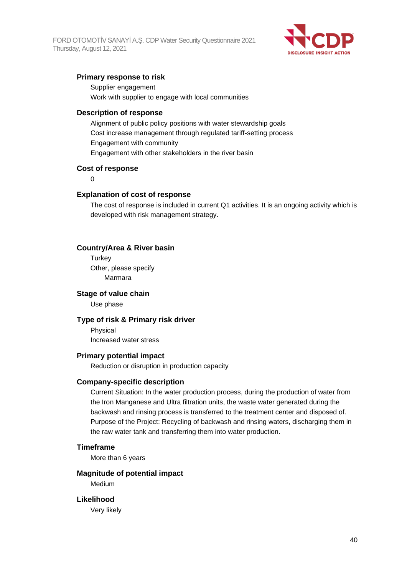

#### **Primary response to risk**

Supplier engagement Work with supplier to engage with local communities

#### **Description of response**

Alignment of public policy positions with water stewardship goals Cost increase management through regulated tariff-setting process Engagement with community Engagement with other stakeholders in the river basin

#### **Cost of response**

 $\Omega$ 

#### **Explanation of cost of response**

The cost of response is included in current Q1 activities. It is an ongoing activity which is developed with risk management strategy.

#### **Country/Area & River basin**

**Turkey** Other, please specify Marmara

#### **Stage of value chain**

Use phase

#### **Type of risk & Primary risk driver**

Physical Increased water stress

#### **Primary potential impact**

Reduction or disruption in production capacity

#### **Company-specific description**

Current Situation: In the water production process, during the production of water from the Iron Manganese and Ultra filtration units, the waste water generated during the backwash and rinsing process is transferred to the treatment center and disposed of. Purpose of the Project: Recycling of backwash and rinsing waters, discharging them in the raw water tank and transferring them into water production.

#### **Timeframe**

More than 6 years

#### **Magnitude of potential impact**

Medium

#### **Likelihood**

Very likely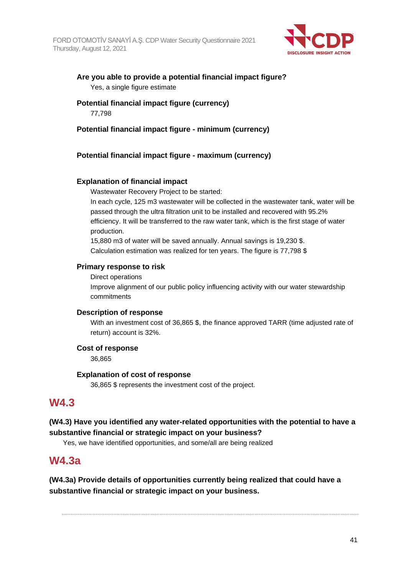

### **Are you able to provide a potential financial impact figure?** Yes, a single figure estimate

### **Potential financial impact figure (currency)** 77,798

### **Potential financial impact figure - minimum (currency)**

### **Potential financial impact figure - maximum (currency)**

### **Explanation of financial impact**

Wastewater Recovery Project to be started:

In each cycle, 125 m3 wastewater will be collected in the wastewater tank, water will be passed through the ultra filtration unit to be installed and recovered with 95.2% efficiency. It will be transferred to the raw water tank, which is the first stage of water production.

15,880 m3 of water will be saved annually. Annual savings is 19,230 \$. Calculation estimation was realized for ten years. The figure is 77,798 \$

### **Primary response to risk**

Direct operations

Improve alignment of our public policy influencing activity with our water stewardship commitments

#### **Description of response**

With an investment cost of 36,865 \$, the finance approved TARR (time adjusted rate of return) account is 32%.

#### **Cost of response**

36,865

#### **Explanation of cost of response**

36,865 \$ represents the investment cost of the project.

# **W4.3**

### **(W4.3) Have you identified any water-related opportunities with the potential to have a substantive financial or strategic impact on your business?**

Yes, we have identified opportunities, and some/all are being realized

# **W4.3a**

**(W4.3a) Provide details of opportunities currently being realized that could have a substantive financial or strategic impact on your business.**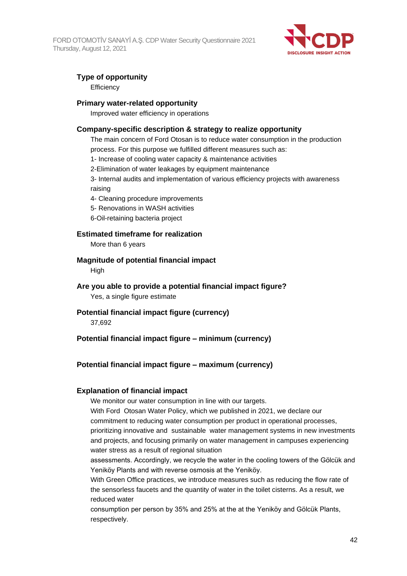

### **Type of opportunity**

**Efficiency** 

#### **Primary water-related opportunity**

Improved water efficiency in operations

### **Company-specific description & strategy to realize opportunity**

The main concern of Ford Otosan is to reduce water consumption in the production process. For this purpose we fulfilled different measures such as:

1- Increase of cooling water capacity & maintenance activities

2-Elimination of water leakages by equipment maintenance

3- Internal audits and implementation of various efficiency projects with awareness raising

4- Cleaning procedure improvements

5- Renovations in WASH activities

6-Oil-retaining bacteria project

#### **Estimated timeframe for realization**

More than 6 years

#### **Magnitude of potential financial impact**

**High** 

**Are you able to provide a potential financial impact figure?**

Yes, a single figure estimate

**Potential financial impact figure (currency)**

37,692

### **Potential financial impact figure – minimum (currency)**

### **Potential financial impact figure – maximum (currency)**

#### **Explanation of financial impact**

We monitor our water consumption in line with our targets.

With Ford Otosan Water Policy, which we published in 2021, we declare our commitment to reducing water consumption per product in operational processes, prioritizing innovative and sustainable water management systems in new investments and projects, and focusing primarily on water management in campuses experiencing water stress as a result of regional situation

assessments. Accordingly, we recycle the water in the cooling towers of the Gölcük and Yeniköy Plants and with reverse osmosis at the Yeniköy.

With Green Office practices, we introduce measures such as reducing the flow rate of the sensorless faucets and the quantity of water in the toilet cisterns. As a result, we reduced water

consumption per person by 35% and 25% at the at the Yeniköy and Gölcük Plants, respectively.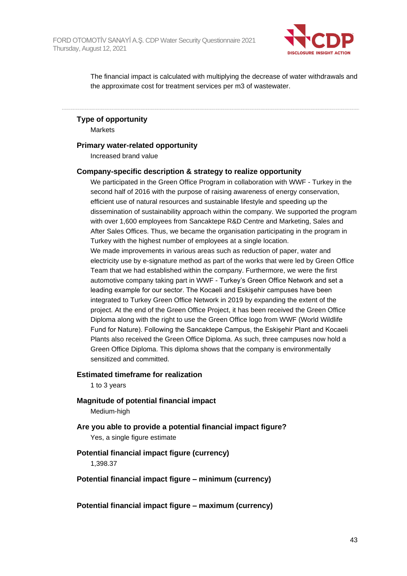

The financial impact is calculated with multiplying the decrease of water withdrawals and the approximate cost for treatment services per m3 of wastewater.

**Type of opportunity**

**Markets** 

#### **Primary water-related opportunity**

Increased brand value

#### **Company-specific description & strategy to realize opportunity**

We participated in the Green Office Program in collaboration with WWF - Turkey in the second half of 2016 with the purpose of raising awareness of energy conservation, efficient use of natural resources and sustainable lifestyle and speeding up the dissemination of sustainability approach within the company. We supported the program with over 1,600 employees from Sancaktepe R&D Centre and Marketing, Sales and After Sales Offices. Thus, we became the organisation participating in the program in Turkey with the highest number of employees at a single location.

We made improvements in various areas such as reduction of paper, water and electricity use by e-signature method as part of the works that were led by Green Office Team that we had established within the company. Furthermore, we were the first automotive company taking part in WWF - Turkey's Green Office Network and set a leading example for our sector. The Kocaeli and Eskişehir campuses have been integrated to Turkey Green Office Network in 2019 by expanding the extent of the project. At the end of the Green Office Project, it has been received the Green Office Diploma along with the right to use the Green Office logo from WWF (World Wildlife Fund for Nature). Following the Sancaktepe Campus, the Eskişehir Plant and Kocaeli Plants also received the Green Office Diploma. As such, three campuses now hold a Green Office Diploma. This diploma shows that the company is environmentally sensitized and committed.

#### **Estimated timeframe for realization**

1 to 3 years

**Magnitude of potential financial impact** Medium-high

**Are you able to provide a potential financial impact figure?** Yes, a single figure estimate

#### **Potential financial impact figure (currency)** 1,398.37

**Potential financial impact figure – minimum (currency)**

**Potential financial impact figure – maximum (currency)**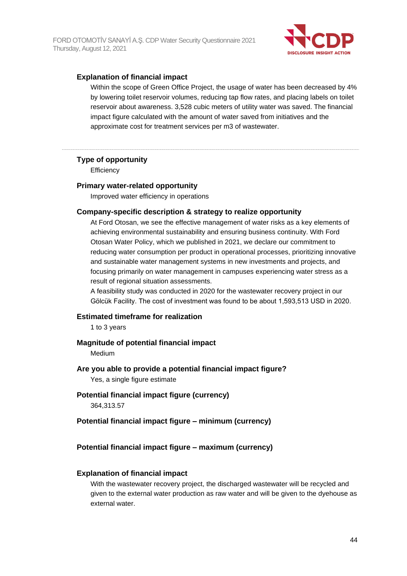

### **Explanation of financial impact**

Within the scope of Green Office Project, the usage of water has been decreased by 4% by lowering toilet reservoir volumes, reducing tap flow rates, and placing labels on toilet reservoir about awareness. 3,528 cubic meters of utility water was saved. The financial impact figure calculated with the amount of water saved from initiatives and the approximate cost for treatment services per m3 of wastewater.

#### **Type of opportunity**

**Efficiency** 

#### **Primary water-related opportunity**

Improved water efficiency in operations

#### **Company-specific description & strategy to realize opportunity**

At Ford Otosan, we see the effective management of water risks as a key elements of achieving environmental sustainability and ensuring business continuity. With Ford Otosan Water Policy, which we published in 2021, we declare our commitment to reducing water consumption per product in operational processes, prioritizing innovative and sustainable water management systems in new investments and projects, and focusing primarily on water management in campuses experiencing water stress as a result of regional situation assessments.

A feasibility study was conducted in 2020 for the wastewater recovery project in our Gölcük Facility. The cost of investment was found to be about 1,593,513 USD in 2020.

#### **Estimated timeframe for realization**

1 to 3 years

#### **Magnitude of potential financial impact**

Medium

#### **Are you able to provide a potential financial impact figure?** Yes, a single figure estimate

**Potential financial impact figure (currency)** 364,313.57

#### **Potential financial impact figure – minimum (currency)**

#### **Potential financial impact figure – maximum (currency)**

#### **Explanation of financial impact**

With the wastewater recovery project, the discharged wastewater will be recycled and given to the external water production as raw water and will be given to the dyehouse as external water.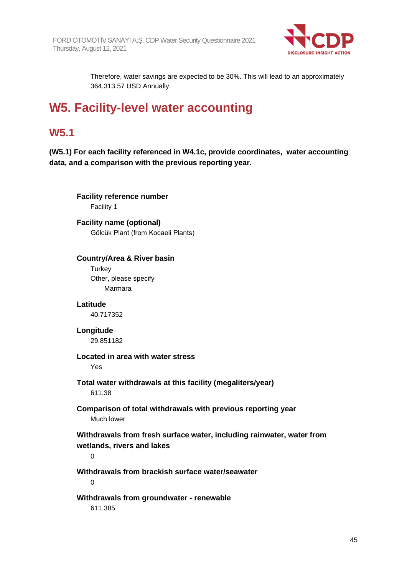

Therefore, water savings are expected to be 30%. This will lead to an approximately 364,313.57 USD Annually.

# **W5. Facility-level water accounting**

# **W5.1**

**(W5.1) For each facility referenced in W4.1c, provide coordinates, water accounting data, and a comparison with the previous reporting year.**

**Facility reference number** Facility 1 **Facility name (optional)** Gölcük Plant (from Kocaeli Plants) **Country/Area & River basin Turkey** Other, please specify Marmara **Latitude** 40.717352 **Longitude** 29.851182 **Located in area with water stress** Yes **Total water withdrawals at this facility (megaliters/year)** 611.38 **Comparison of total withdrawals with previous reporting year** Much lower **Withdrawals from fresh surface water, including rainwater, water from wetlands, rivers and lakes**  $\Omega$ **Withdrawals from brackish surface water/seawater**  $\Omega$ **Withdrawals from groundwater - renewable** 611.385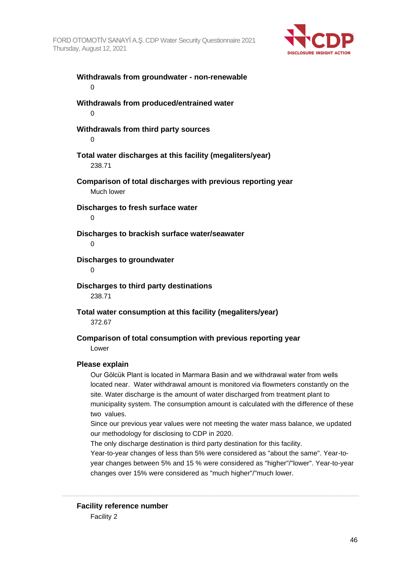

**Withdrawals from groundwater - non-renewable** 0 **Withdrawals from produced/entrained water**  $\Omega$ **Withdrawals from third party sources** 0 **Total water discharges at this facility (megaliters/year)** 238.71 **Comparison of total discharges with previous reporting year** Much lower **Discharges to fresh surface water**  $\Omega$ **Discharges to brackish surface water/seawater**  $\Omega$ **Discharges to groundwater**  $\Omega$ **Discharges to third party destinations** 238.71 **Total water consumption at this facility (megaliters/year)** 372.67 **Comparison of total consumption with previous reporting year** Lower **Please explain** Our Gölcük Plant is located in Marmara Basin and we withdrawal water from wells located near. Water withdrawal amount is monitored via flowmeters constantly on the site. Water discharge is the amount of water discharged from treatment plant to municipality system. The consumption amount is calculated with the difference of these two values.

Since our previous year values were not meeting the water mass balance, we updated our methodology for disclosing to CDP in 2020.

The only discharge destination is third party destination for this facility.

Year-to-year changes of less than 5% were considered as "about the same". Year-toyear changes between 5% and 15 % were considered as "higher"/"lower". Year-to-year changes over 15% were considered as "much higher"/"much lower.

### **Facility reference number**

Facility 2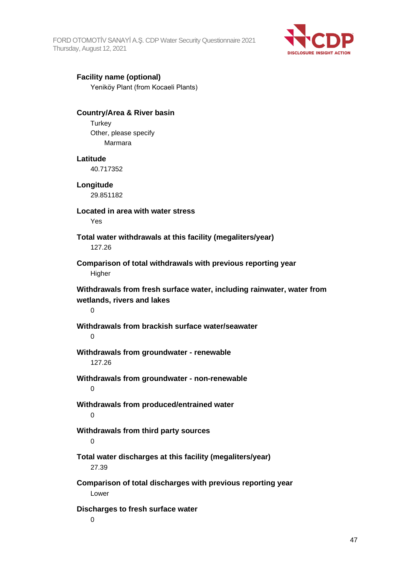

#### **Facility name (optional)**

Yeniköy Plant (from Kocaeli Plants)

#### **Country/Area & River basin**

**Turkey** Other, please specify Marmara

#### **Latitude**

40.717352

### **Longitude**

29.851182

### **Located in area with water stress**

Yes

#### **Total water withdrawals at this facility (megaliters/year)** 127.26

### **Comparison of total withdrawals with previous reporting year Higher**

**Withdrawals from fresh surface water, including rainwater, water from wetlands, rivers and lakes**

 $\Omega$ 

### **Withdrawals from brackish surface water/seawater**

 $\Omega$ 

#### **Withdrawals from groundwater - renewable** 127.26

**Withdrawals from groundwater - non-renewable**  $\Omega$ 

### **Withdrawals from produced/entrained water** 0

### **Withdrawals from third party sources**

0

### **Total water discharges at this facility (megaliters/year)** 27.39

**Comparison of total discharges with previous reporting year** Lower

#### **Discharges to fresh surface water**

 $\Omega$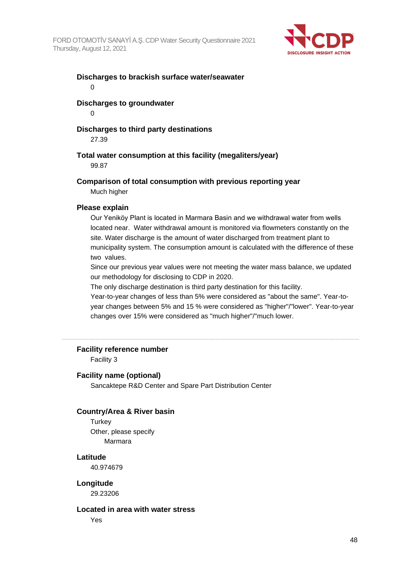

#### **Discharges to brackish surface water/seawater**  $\overline{0}$

### **Discharges to groundwater**

 $\Omega$ 

### **Discharges to third party destinations**

27.39

### **Total water consumption at this facility (megaliters/year)**

99.87

#### **Comparison of total consumption with previous reporting year**

Much higher

#### **Please explain**

Our Yeniköy Plant is located in Marmara Basin and we withdrawal water from wells located near. Water withdrawal amount is monitored via flowmeters constantly on the site. Water discharge is the amount of water discharged from treatment plant to municipality system. The consumption amount is calculated with the difference of these two values.

Since our previous year values were not meeting the water mass balance, we updated our methodology for disclosing to CDP in 2020.

The only discharge destination is third party destination for this facility.

Year-to-year changes of less than 5% were considered as "about the same". Year-toyear changes between 5% and 15 % were considered as "higher"/"lower". Year-to-year changes over 15% were considered as "much higher"/"much lower.

#### **Facility reference number**

Facility 3

#### **Facility name (optional)**

Sancaktepe R&D Center and Spare Part Distribution Center

#### **Country/Area & River basin**

**Turkey** Other, please specify Marmara

#### **Latitude**

40.974679

**Longitude**

29.23206

#### **Located in area with water stress**

Yes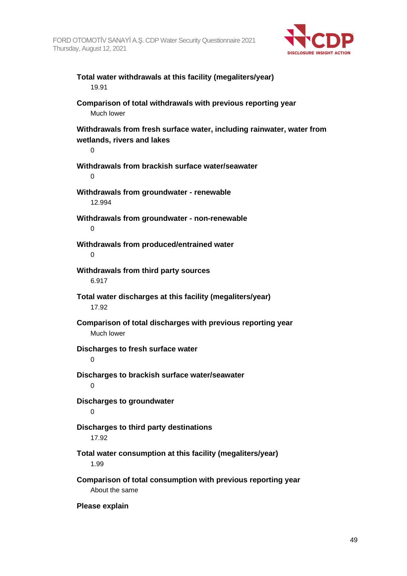

#### **Total water withdrawals at this facility (megaliters/year)** 19.91

**Comparison of total withdrawals with previous reporting year** Much lower

**Withdrawals from fresh surface water, including rainwater, water from wetlands, rivers and lakes**

 $\Omega$ 

**Withdrawals from brackish surface water/seawater**  $\Omega$ 

**Withdrawals from groundwater - renewable** 12.994

**Withdrawals from groundwater - non-renewable**  $\Omega$ 

**Withdrawals from produced/entrained water**  $\Omega$ 

**Withdrawals from third party sources** 6.917

**Total water discharges at this facility (megaliters/year)** 17.92

**Comparison of total discharges with previous reporting year** Much lower

**Discharges to fresh surface water**

0

**Discharges to brackish surface water/seawater**  $\Omega$ 

**Discharges to groundwater**  $\Omega$ 

**Discharges to third party destinations**

17.92

### **Total water consumption at this facility (megaliters/year)** 1.99

**Comparison of total consumption with previous reporting year** About the same

**Please explain**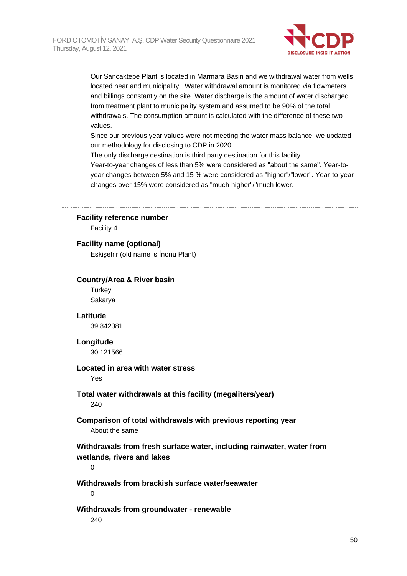

Our Sancaktepe Plant is located in Marmara Basin and we withdrawal water from wells located near and municipality. Water withdrawal amount is monitored via flowmeters and billings constantly on the site. Water discharge is the amount of water discharged from treatment plant to municipality system and assumed to be 90% of the total withdrawals. The consumption amount is calculated with the difference of these two values.

Since our previous year values were not meeting the water mass balance, we updated our methodology for disclosing to CDP in 2020.

The only discharge destination is third party destination for this facility.

Year-to-year changes of less than 5% were considered as "about the same". Year-toyear changes between 5% and 15 % were considered as "higher"/"lower". Year-to-year changes over 15% were considered as "much higher"/"much lower.

## **Facility reference number**

Facility 4

#### **Facility name (optional)**

Eskişehir (old name is İnonu Plant)

#### **Country/Area & River basin**

**Turkey** Sakarya

#### **Latitude**

39.842081

#### **Longitude**

30.121566

#### **Located in area with water stress**

Yes

### **Total water withdrawals at this facility (megaliters/year)**

240

#### **Comparison of total withdrawals with previous reporting year** About the same

### **Withdrawals from fresh surface water, including rainwater, water from wetlands, rivers and lakes**

 $\Omega$ 

**Withdrawals from brackish surface water/seawater**

 $\Omega$ 

#### **Withdrawals from groundwater - renewable**

240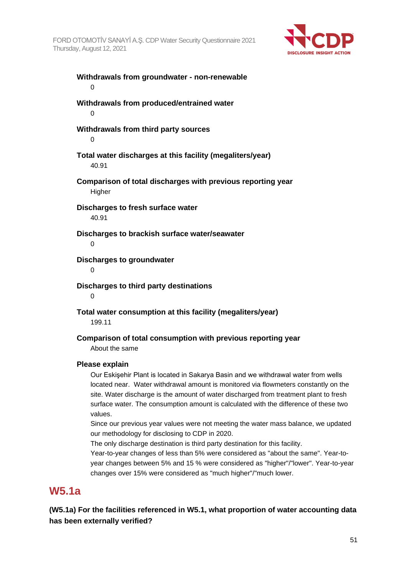

**Withdrawals from groundwater - non-renewable** 0 **Withdrawals from produced/entrained water**  $\Omega$ **Withdrawals from third party sources**  $\Omega$ **Total water discharges at this facility (megaliters/year)** 40.91 **Comparison of total discharges with previous reporting year Higher Discharges to fresh surface water** 40.91 **Discharges to brackish surface water/seawater**  $\Omega$ **Discharges to groundwater**  $\Omega$ **Discharges to third party destinations**  $\Omega$ **Total water consumption at this facility (megaliters/year)** 199.11 **Comparison of total consumption with previous reporting year** About the same

#### **Please explain**

Our Eskişehir Plant is located in Sakarya Basin and we withdrawal water from wells located near. Water withdrawal amount is monitored via flowmeters constantly on the site. Water discharge is the amount of water discharged from treatment plant to fresh surface water. The consumption amount is calculated with the difference of these two values.

Since our previous year values were not meeting the water mass balance, we updated our methodology for disclosing to CDP in 2020.

The only discharge destination is third party destination for this facility.

Year-to-year changes of less than 5% were considered as "about the same". Year-toyear changes between 5% and 15 % were considered as "higher"/"lower". Year-to-year changes over 15% were considered as "much higher"/"much lower.

### **W5.1a**

**(W5.1a) For the facilities referenced in W5.1, what proportion of water accounting data has been externally verified?**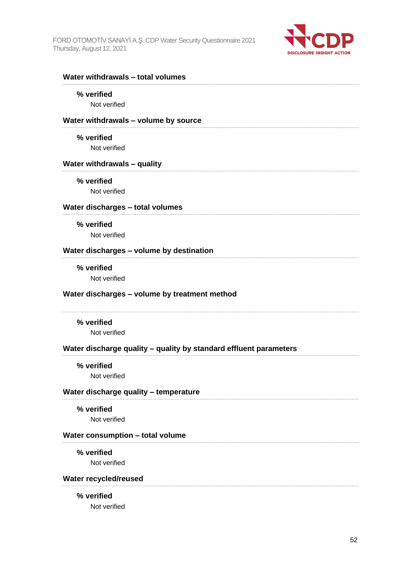

| Water withdrawals - total volumes                                 |
|-------------------------------------------------------------------|
| % verified                                                        |
| Not verified                                                      |
| Water withdrawals - volume by source                              |
| % verified                                                        |
| Not verified                                                      |
| Water withdrawals - quality                                       |
| % verified                                                        |
| Not verified                                                      |
| Water discharges - total volumes                                  |
| % verified                                                        |
| Not verified                                                      |
| Water discharges - volume by destination                          |
| % verified                                                        |
| Not verified                                                      |
| Water discharges - volume by treatment method                     |
| % verified                                                        |
| Not verified                                                      |
| Water discharge quality - quality by standard effluent parameters |
| % verified                                                        |
| Not verified                                                      |
| Water discharge quality - temperature                             |
| % verified                                                        |
| Not verified                                                      |
| Water consumption - total volume                                  |
| % verified                                                        |
| Not verified                                                      |
| Water recycled/reused                                             |
| % verified                                                        |
| Not verified                                                      |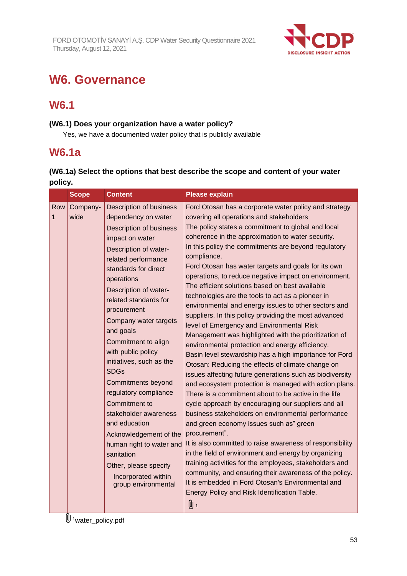

# **W6. Governance**

# **W6.1**

### **(W6.1) Does your organization have a water policy?**

Yes, we have a documented water policy that is publicly available

# **W6.1a**

### **(W6.1a) Select the options that best describe the scope and content of your water policy.**

|          | <b>Scope</b>     | <b>Content</b>                                                                                                                                                                                                                                                                                                                                                                                                                                                                                                                                                                                                                                       | <b>Please explain</b>                                                                                                                                                                                                                                                                                                                                                                                                                                                                                                                                                                                                                                                                                                                                                                                                                                                                                                                                                                                                                                                                                                                                                                                                                                                                                                                                                                                                                                                                                                                                                                                             |
|----------|------------------|------------------------------------------------------------------------------------------------------------------------------------------------------------------------------------------------------------------------------------------------------------------------------------------------------------------------------------------------------------------------------------------------------------------------------------------------------------------------------------------------------------------------------------------------------------------------------------------------------------------------------------------------------|-------------------------------------------------------------------------------------------------------------------------------------------------------------------------------------------------------------------------------------------------------------------------------------------------------------------------------------------------------------------------------------------------------------------------------------------------------------------------------------------------------------------------------------------------------------------------------------------------------------------------------------------------------------------------------------------------------------------------------------------------------------------------------------------------------------------------------------------------------------------------------------------------------------------------------------------------------------------------------------------------------------------------------------------------------------------------------------------------------------------------------------------------------------------------------------------------------------------------------------------------------------------------------------------------------------------------------------------------------------------------------------------------------------------------------------------------------------------------------------------------------------------------------------------------------------------------------------------------------------------|
| Row<br>1 | Company-<br>wide | <b>Description of business</b><br>dependency on water<br><b>Description of business</b><br>impact on water<br>Description of water-<br>related performance<br>standards for direct<br>operations<br>Description of water-<br>related standards for<br>procurement<br>Company water targets<br>and goals<br>Commitment to align<br>with public policy<br>initiatives, such as the<br><b>SDGs</b><br>Commitments beyond<br>regulatory compliance<br>Commitment to<br>stakeholder awareness<br>and education<br>Acknowledgement of the<br>human right to water and<br>sanitation<br>Other, please specify<br>Incorporated within<br>group environmental | Ford Otosan has a corporate water policy and strategy<br>covering all operations and stakeholders<br>The policy states a commitment to global and local<br>coherence in the approximation to water security.<br>In this policy the commitments are beyond regulatory<br>compliance.<br>Ford Otosan has water targets and goals for its own<br>operations, to reduce negative impact on environment.<br>The efficient solutions based on best available<br>technologies are the tools to act as a pioneer in<br>environmental and energy issues to other sectors and<br>suppliers. In this policy providing the most advanced<br>level of Emergency and Environmental Risk<br>Management was highlighted with the prioritization of<br>environmental protection and energy efficiency.<br>Basin level stewardship has a high importance for Ford<br>Otosan: Reducing the effects of climate change on<br>issues affecting future generations such as biodiversity<br>and ecosystem protection is managed with action plans.<br>There is a commitment about to be active in the life<br>cycle approach by encouraging our suppliers and all<br>business stakeholders on environmental performance<br>and green economy issues such as" green<br>procurement".<br>It is also committed to raise awareness of responsibility<br>in the field of environment and energy by organizing<br>training activities for the employees, stakeholders and<br>community, and ensuring their awareness of the policy.<br>It is embedded in Ford Otosan's Environmental and<br>Energy Policy and Risk Identification Table.<br>0 1 |

 $\overline{\overset{\text{\normalsize 1}}{\text{\normalsize 1}}\text{\normalsize w}}$  ater\_policy.pdf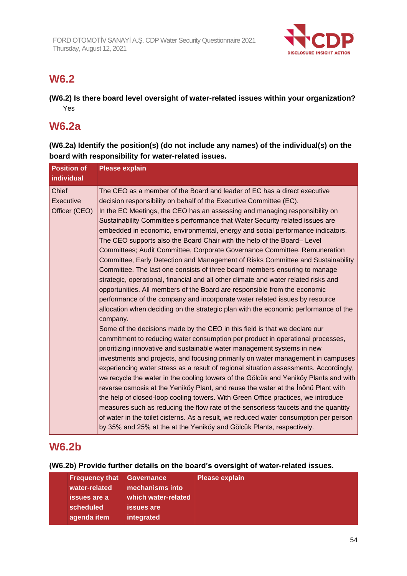

# **W6.2**

**(W6.2) Is there board level oversight of water-related issues within your organization?** Yes

# **W6.2a**

**(W6.2a) Identify the position(s) (do not include any names) of the individual(s) on the board with responsibility for water-related issues.**

| <b>Position of</b><br>individual                  | <b>Please explain</b>                                                                                                                                                                                                                                                                                                                                                                                                                                                                                                                                                                                                                                                                                                                                                                                                                                                                                                                                                                                                                                                                                                                                                                                                                                                                                                                                                                                                                                                                                                                                                                                                                                                                                                                                                                                                                                                                                                                                                                                                             |
|---------------------------------------------------|-----------------------------------------------------------------------------------------------------------------------------------------------------------------------------------------------------------------------------------------------------------------------------------------------------------------------------------------------------------------------------------------------------------------------------------------------------------------------------------------------------------------------------------------------------------------------------------------------------------------------------------------------------------------------------------------------------------------------------------------------------------------------------------------------------------------------------------------------------------------------------------------------------------------------------------------------------------------------------------------------------------------------------------------------------------------------------------------------------------------------------------------------------------------------------------------------------------------------------------------------------------------------------------------------------------------------------------------------------------------------------------------------------------------------------------------------------------------------------------------------------------------------------------------------------------------------------------------------------------------------------------------------------------------------------------------------------------------------------------------------------------------------------------------------------------------------------------------------------------------------------------------------------------------------------------------------------------------------------------------------------------------------------------|
| <b>Chief</b><br><b>Executive</b><br>Officer (CEO) | The CEO as a member of the Board and leader of EC has a direct executive<br>decision responsibility on behalf of the Executive Committee (EC).<br>In the EC Meetings, the CEO has an assessing and managing responsibility on<br>Sustainability Committee's performance that Water Security related issues are<br>embedded in economic, environmental, energy and social performance indicators.<br>The CEO supports also the Board Chair with the help of the Board– Level<br>Committees; Audit Committee, Corporate Governance Committee, Remuneration<br>Committee, Early Detection and Management of Risks Committee and Sustainability<br>Committee. The last one consists of three board members ensuring to manage<br>strategic, operational, financial and all other climate and water related risks and<br>opportunities. All members of the Board are responsible from the economic<br>performance of the company and incorporate water related issues by resource<br>allocation when deciding on the strategic plan with the economic performance of the<br>company.<br>Some of the decisions made by the CEO in this field is that we declare our<br>commitment to reducing water consumption per product in operational processes,<br>prioritizing innovative and sustainable water management systems in new<br>investments and projects, and focusing primarily on water management in campuses<br>experiencing water stress as a result of regional situation assessments. Accordingly,<br>we recycle the water in the cooling towers of the Gölcük and Yeniköy Plants and with<br>reverse osmosis at the Yeniköy Plant, and reuse the water at the Inönü Plant with<br>the help of closed-loop cooling towers. With Green Office practices, we introduce<br>measures such as reducing the flow rate of the sensorless faucets and the quantity<br>of water in the toilet cisterns. As a result, we reduced water consumption per person<br>by 35% and 25% at the at the Yeniköy and Gölcük Plants, respectively. |

# **W6.2b**

**(W6.2b) Provide further details on the board's oversight of water-related issues.**

| <b>Frequency that</b> | <b>Governance</b>   | <b>Please explain</b> |
|-----------------------|---------------------|-----------------------|
| water-related         | mechanisms into     |                       |
| issues are a          | which water-related |                       |
| scheduled             | <b>issues</b> are   |                       |
| agenda item           | integrated          |                       |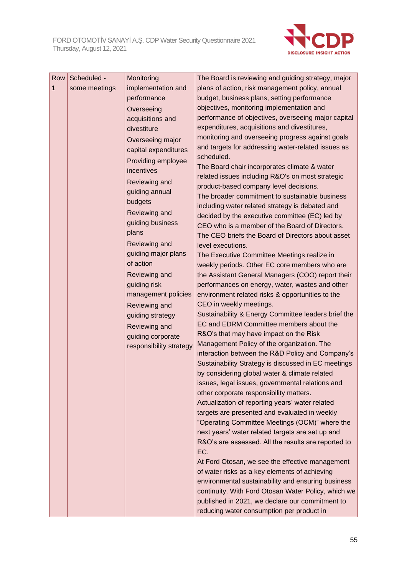

| Row | Scheduled -   | Monitoring              | The Board is reviewing and guiding strategy, major                                                |
|-----|---------------|-------------------------|---------------------------------------------------------------------------------------------------|
| 1   | some meetings | implementation and      | plans of action, risk management policy, annual                                                   |
|     |               | performance             | budget, business plans, setting performance                                                       |
|     |               | Overseeing              | objectives, monitoring implementation and                                                         |
|     |               | acquisitions and        | performance of objectives, overseeing major capital                                               |
|     |               | divestiture             | expenditures, acquisitions and divestitures,                                                      |
|     |               | Overseeing major        | monitoring and overseeing progress against goals                                                  |
|     |               | capital expenditures    | and targets for addressing water-related issues as                                                |
|     |               | Providing employee      | scheduled.                                                                                        |
|     |               | incentives              | The Board chair incorporates climate & water                                                      |
|     |               | Reviewing and           | related issues including R&O's on most strategic                                                  |
|     |               | guiding annual          | product-based company level decisions.                                                            |
|     |               | budgets                 | The broader commitment to sustainable business                                                    |
|     |               | Reviewing and           | including water related strategy is debated and<br>decided by the executive committee (EC) led by |
|     |               | guiding business        | CEO who is a member of the Board of Directors.                                                    |
|     |               | plans                   | The CEO briefs the Board of Directors about asset                                                 |
|     |               | Reviewing and           | level executions.                                                                                 |
|     |               | guiding major plans     | The Executive Committee Meetings realize in                                                       |
|     |               | of action               | weekly periods. Other EC core members who are                                                     |
|     |               | Reviewing and           | the Assistant General Managers (COO) report their                                                 |
|     |               | guiding risk            | performances on energy, water, wastes and other                                                   |
|     |               | management policies     | environment related risks & opportunities to the                                                  |
|     |               | Reviewing and           | CEO in weekly meetings.                                                                           |
|     |               | guiding strategy        | Sustainability & Energy Committee leaders brief the                                               |
|     |               | Reviewing and           | EC and EDRM Committee members about the                                                           |
|     |               | guiding corporate       | R&O's that may have impact on the Risk                                                            |
|     |               | responsibility strategy | Management Policy of the organization. The                                                        |
|     |               |                         | interaction between the R&D Policy and Company's                                                  |
|     |               |                         | Sustainability Strategy is discussed in EC meetings                                               |
|     |               |                         | by considering global water & climate related                                                     |
|     |               |                         | issues, legal issues, governmental relations and                                                  |
|     |               |                         | other corporate responsibility matters.<br>Actualization of reporting years' water related        |
|     |               |                         | targets are presented and evaluated in weekly                                                     |
|     |               |                         | "Operating Committee Meetings (OCM)" where the                                                    |
|     |               |                         | next years' water related targets are set up and                                                  |
|     |               |                         | R&O's are assessed. All the results are reported to                                               |
|     |               |                         | EC.                                                                                               |
|     |               |                         | At Ford Otosan, we see the effective management                                                   |
|     |               |                         | of water risks as a key elements of achieving                                                     |
|     |               |                         | environmental sustainability and ensuring business                                                |
|     |               |                         | continuity. With Ford Otosan Water Policy, which we                                               |
|     |               |                         | published in 2021, we declare our commitment to                                                   |
|     |               |                         | reducing water consumption per product in                                                         |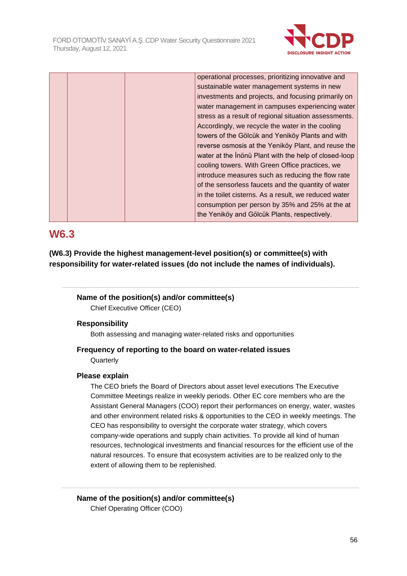

|  | operational processes, prioritizing innovative and    |
|--|-------------------------------------------------------|
|  | sustainable water management systems in new           |
|  | investments and projects, and focusing primarily on   |
|  | water management in campuses experiencing water       |
|  | stress as a result of regional situation assessments. |
|  | Accordingly, we recycle the water in the cooling      |
|  | towers of the Gölcük and Yeniköy Plants and with      |
|  | reverse osmosis at the Yeniköy Plant, and reuse the   |
|  | water at the Inonu Plant with the help of closed-loop |
|  | cooling towers. With Green Office practices, we       |
|  | introduce measures such as reducing the flow rate     |
|  | of the sensorless faucets and the quantity of water   |
|  | in the toilet cisterns. As a result, we reduced water |
|  | consumption per person by 35% and 25% at the at       |
|  | the Yeniköy and Gölcük Plants, respectively.          |

# **W6.3**

**(W6.3) Provide the highest management-level position(s) or committee(s) with responsibility for water-related issues (do not include the names of individuals).**

### **Name of the position(s) and/or committee(s)**

Chief Executive Officer (CEO)

#### **Responsibility**

Both assessing and managing water-related risks and opportunities

# **Frequency of reporting to the board on water-related issues**

**Quarterly** 

#### **Please explain**

The CEO briefs the Board of Directors about asset level executions The Executive Committee Meetings realize in weekly periods. Other EC core members who are the Assistant General Managers (COO) report their performances on energy, water, wastes and other environment related risks & opportunities to the CEO in weekly meetings. The CEO has responsibility to oversight the corporate water strategy, which covers company-wide operations and supply chain activities. To provide all kind of human resources, technological investments and financial resources for the efficient use of the natural resources. To ensure that ecosystem activities are to be realized only to the extent of allowing them to be replenished.

**Name of the position(s) and/or committee(s)** Chief Operating Officer (COO)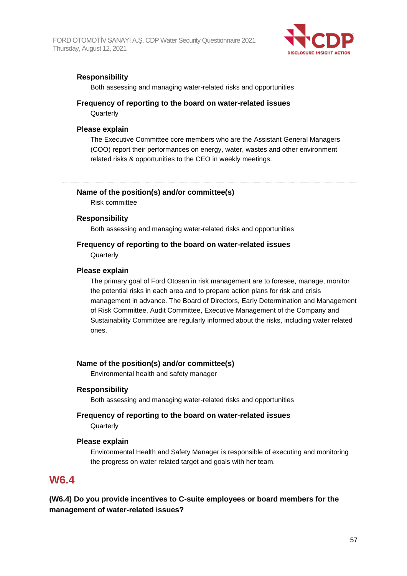

#### **Responsibility**

Both assessing and managing water-related risks and opportunities

#### **Frequency of reporting to the board on water-related issues**

**Quarterly** 

#### **Please explain**

The Executive Committee core members who are the Assistant General Managers (COO) report their performances on energy, water, wastes and other environment related risks & opportunities to the CEO in weekly meetings.

#### **Name of the position(s) and/or committee(s)**

Risk committee

#### **Responsibility**

Both assessing and managing water-related risks and opportunities

### **Frequency of reporting to the board on water-related issues**

**Quarterly** 

#### **Please explain**

The primary goal of Ford Otosan in risk management are to foresee, manage, monitor the potential risks in each area and to prepare action plans for risk and crisis management in advance. The Board of Directors, Early Determination and Management of Risk Committee, Audit Committee, Executive Management of the Company and Sustainability Committee are regularly informed about the risks, including water related ones.

#### **Name of the position(s) and/or committee(s)**

Environmental health and safety manager

#### **Responsibility**

Both assessing and managing water-related risks and opportunities

### **Frequency of reporting to the board on water-related issues**

**Quarterly** 

#### **Please explain**

Environmental Health and Safety Manager is responsible of executing and monitoring the progress on water related target and goals with her team.

## **W6.4**

**(W6.4) Do you provide incentives to C-suite employees or board members for the management of water-related issues?**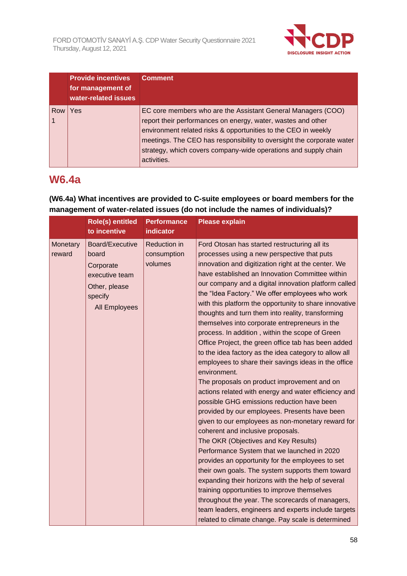

|     | <b>Provide incentives</b><br>for management of<br>water-related issues | <b>Comment</b>                                                                                                                                                                                                                                                                                                                                            |
|-----|------------------------------------------------------------------------|-----------------------------------------------------------------------------------------------------------------------------------------------------------------------------------------------------------------------------------------------------------------------------------------------------------------------------------------------------------|
| Row | Yes                                                                    | EC core members who are the Assistant General Managers (COO)<br>report their performances on energy, water, wastes and other<br>environment related risks & opportunities to the CEO in weekly<br>meetings. The CEO has responsibility to oversight the corporate water<br>strategy, which covers company-wide operations and supply chain<br>activities. |

# **W6.4a**

### **(W6.4a) What incentives are provided to C-suite employees or board members for the management of water-related issues (do not include the names of individuals)?**

|                    | <b>Role(s) entitled</b><br>to incentive                                                                     | <b>Performance</b><br><b>indicator</b> | <b>Please explain</b>                                                                                                                                                                                                                                                                                                                                                                                                                                                                                                                                                                                                                                                                                                                                                                                                                                                                                                                                                                                                                                                                                                                                                                                                                                                                                                                                                                                                                                                                              |
|--------------------|-------------------------------------------------------------------------------------------------------------|----------------------------------------|----------------------------------------------------------------------------------------------------------------------------------------------------------------------------------------------------------------------------------------------------------------------------------------------------------------------------------------------------------------------------------------------------------------------------------------------------------------------------------------------------------------------------------------------------------------------------------------------------------------------------------------------------------------------------------------------------------------------------------------------------------------------------------------------------------------------------------------------------------------------------------------------------------------------------------------------------------------------------------------------------------------------------------------------------------------------------------------------------------------------------------------------------------------------------------------------------------------------------------------------------------------------------------------------------------------------------------------------------------------------------------------------------------------------------------------------------------------------------------------------------|
| Monetary<br>reward | Board/Executive<br>board<br>Corporate<br>executive team<br>Other, please<br>specify<br><b>All Employees</b> | Reduction in<br>consumption<br>volumes | Ford Otosan has started restructuring all its<br>processes using a new perspective that puts<br>innovation and digitization right at the center. We<br>have established an Innovation Committee within<br>our company and a digital innovation platform called<br>the "Idea Factory." We offer employees who work<br>with this platform the opportunity to share innovative<br>thoughts and turn them into reality, transforming<br>themselves into corporate entrepreneurs in the<br>process. In addition, within the scope of Green<br>Office Project, the green office tab has been added<br>to the idea factory as the idea category to allow all<br>employees to share their savings ideas in the office<br>environment.<br>The proposals on product improvement and on<br>actions related with energy and water efficiency and<br>possible GHG emissions reduction have been<br>provided by our employees. Presents have been<br>given to our employees as non-monetary reward for<br>coherent and inclusive proposals.<br>The OKR (Objectives and Key Results)<br>Performance System that we launched in 2020<br>provides an opportunity for the employees to set<br>their own goals. The system supports them toward<br>expanding their horizons with the help of several<br>training opportunities to improve themselves<br>throughout the year. The scorecards of managers,<br>team leaders, engineers and experts include targets<br>related to climate change. Pay scale is determined |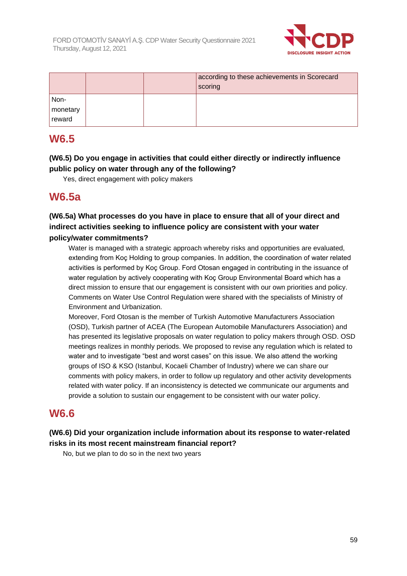

|                            |  | according to these achievements in Scorecard<br>scoring |
|----------------------------|--|---------------------------------------------------------|
| Non-<br>monetary<br>reward |  |                                                         |

# **W6.5**

### **(W6.5) Do you engage in activities that could either directly or indirectly influence public policy on water through any of the following?**

Yes, direct engagement with policy makers

# **W6.5a**

**(W6.5a) What processes do you have in place to ensure that all of your direct and indirect activities seeking to influence policy are consistent with your water policy/water commitments?**

Water is managed with a strategic approach whereby risks and opportunities are evaluated, extending from Koç Holding to group companies. In addition, the coordination of water related activities is performed by Koç Group. Ford Otosan engaged in contributing in the issuance of water regulation by actively cooperating with Koç Group Environmental Board which has a direct mission to ensure that our engagement is consistent with our own priorities and policy. Comments on Water Use Control Regulation were shared with the specialists of Ministry of Environment and Urbanization.

Moreover, Ford Otosan is the member of Turkish Automotive Manufacturers Association (OSD), Turkish partner of ACEA (The European Automobile Manufacturers Association) and has presented its legislative proposals on water regulation to policy makers through OSD. OSD meetings realizes in monthly periods. We proposed to revise any regulation which is related to water and to investigate "best and worst cases" on this issue. We also attend the working groups of ISO & KSO (Istanbul, Kocaeli Chamber of Industry) where we can share our comments with policy makers, in order to follow up regulatory and other activity developments related with water policy. If an inconsistency is detected we communicate our arguments and provide a solution to sustain our engagement to be consistent with our water policy.

# **W6.6**

### **(W6.6) Did your organization include information about its response to water-related risks in its most recent mainstream financial report?**

No, but we plan to do so in the next two years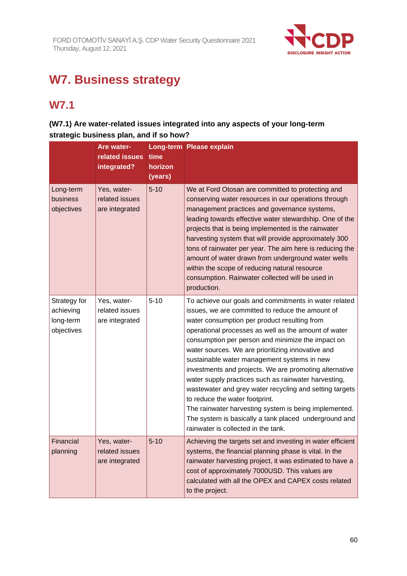

# **W7. Business strategy**

# **W7.1**

### **(W7.1) Are water-related issues integrated into any aspects of your long-term strategic business plan, and if so how?**

|                                                      | <b>Are water-</b><br>related issues<br>integrated? | time<br>horizon<br>(years) | Long-term Please explain                                                                                                                                                                                                                                                                                                                                                                                                                                                                                                                                                                                                                                                                                                                           |
|------------------------------------------------------|----------------------------------------------------|----------------------------|----------------------------------------------------------------------------------------------------------------------------------------------------------------------------------------------------------------------------------------------------------------------------------------------------------------------------------------------------------------------------------------------------------------------------------------------------------------------------------------------------------------------------------------------------------------------------------------------------------------------------------------------------------------------------------------------------------------------------------------------------|
| Long-term<br>business<br>objectives                  | Yes, water-<br>related issues<br>are integrated    | $5 - 10$                   | We at Ford Otosan are committed to protecting and<br>conserving water resources in our operations through<br>management practices and governance systems,<br>leading towards effective water stewardship. One of the<br>projects that is being implemented is the rainwater<br>harvesting system that will provide approximately 300<br>tons of rainwater per year. The aim here is reducing the<br>amount of water drawn from underground water wells<br>within the scope of reducing natural resource<br>consumption. Rainwater collected will be used in<br>production.                                                                                                                                                                         |
| Strategy for<br>achieving<br>long-term<br>objectives | Yes, water-<br>related issues<br>are integrated    | $5 - 10$                   | To achieve our goals and commitments in water related<br>issues, we are committed to reduce the amount of<br>water consumption per product resulting from<br>operational processes as well as the amount of water<br>consumption per person and minimize the impact on<br>water sources. We are prioritizing innovative and<br>sustainable water management systems in new<br>investments and projects. We are promoting alternative<br>water supply practices such as rainwater harvesting,<br>wastewater and grey water recycling and setting targets<br>to reduce the water footprint.<br>The rainwater harvesting system is being implemented.<br>The system is basically a tank placed underground and<br>rainwater is collected in the tank. |
| Financial<br>planning                                | Yes, water-<br>related issues<br>are integrated    | $5 - 10$                   | Achieving the targets set and investing in water efficient<br>systems, the financial planning phase is vital. In the<br>rainwater harvesting project, it was estimated to have a<br>cost of approximately 7000USD. This values are<br>calculated with all the OPEX and CAPEX costs related<br>to the project.                                                                                                                                                                                                                                                                                                                                                                                                                                      |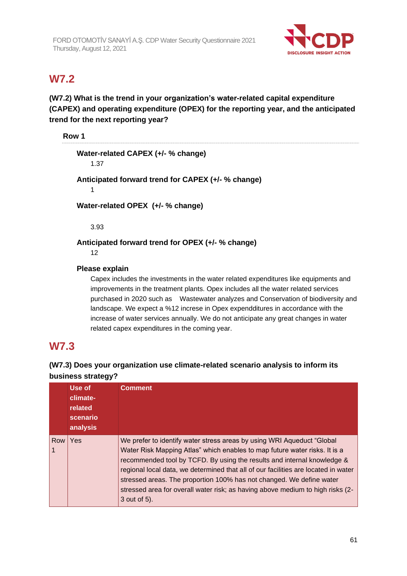

# **W7.2**

**(W7.2) What is the trend in your organization's water-related capital expenditure (CAPEX) and operating expenditure (OPEX) for the reporting year, and the anticipated trend for the next reporting year?**

#### **Row 1**

### **Water-related CAPEX (+/- % change)**

1.37

### **Anticipated forward trend for CAPEX (+/- % change)**

1

**Water-related OPEX (+/- % change)**

3.93

### **Anticipated forward trend for OPEX (+/- % change)**

12

### **Please explain**

Capex includes the investments in the water related expenditures like equipments and improvements in the treatment plants. Opex includes all the water related services purchased in 2020 such as Wastewater analyzes and Conservation of biodiversity and landscape. We expect a %12 increse in Opex expendditures in accordance with the increase of water services annually. We do not anticipate any great changes in water related capex expenditures in the coming year.

# **W7.3**

### **(W7.3) Does your organization use climate-related scenario analysis to inform its business strategy?**

|     | Use of<br>climate-<br>related<br>scenario<br>analysis | <b>Comment</b>                                                                                                                                                                                                                                                                                                                                                                                                                                                                                  |
|-----|-------------------------------------------------------|-------------------------------------------------------------------------------------------------------------------------------------------------------------------------------------------------------------------------------------------------------------------------------------------------------------------------------------------------------------------------------------------------------------------------------------------------------------------------------------------------|
| Row | Yes                                                   | We prefer to identify water stress areas by using WRI Aqueduct "Global<br>Water Risk Mapping Atlas" which enables to map future water risks. It is a<br>recommended tool by TCFD. By using the results and internal knowledge &<br>regional local data, we determined that all of our facilities are located in water<br>stressed areas. The proportion 100% has not changed. We define water<br>stressed area for overall water risk; as having above medium to high risks (2-<br>3 out of 5). |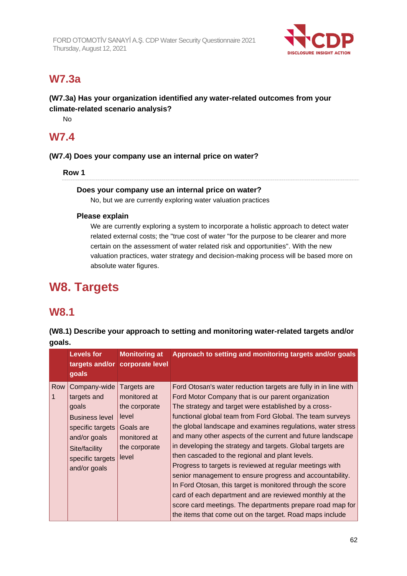

# **W7.3a**

### **(W7.3a) Has your organization identified any water-related outcomes from your climate-related scenario analysis?**

No

## **W7.4**

### **(W7.4) Does your company use an internal price on water?**

**Row 1**

#### **Does your company use an internal price on water?**

No, but we are currently exploring water valuation practices

#### **Please explain**

We are currently exploring a system to incorporate a holistic approach to detect water related external costs; the "true cost of water "for the purpose to be clearer and more certain on the assessment of water related risk and opportunities". With the new valuation practices, water strategy and decision-making process will be based more on absolute water figures.

# **W8. Targets**

## **W8.1**

**(W8.1) Describe your approach to setting and monitoring water-related targets and/or goals.**

|     | <b>Levels for</b><br>goals                                                                                                                             | <b>Monitoring at</b><br>targets and/or corporate level                                                       | Approach to setting and monitoring targets and/or goals                                                                                                                                                                                                                                                                                                                                                                                                                                                                                                                                                                                                                                                                                                                                                                                                            |
|-----|--------------------------------------------------------------------------------------------------------------------------------------------------------|--------------------------------------------------------------------------------------------------------------|--------------------------------------------------------------------------------------------------------------------------------------------------------------------------------------------------------------------------------------------------------------------------------------------------------------------------------------------------------------------------------------------------------------------------------------------------------------------------------------------------------------------------------------------------------------------------------------------------------------------------------------------------------------------------------------------------------------------------------------------------------------------------------------------------------------------------------------------------------------------|
| Row | Company-wide<br>targets and<br>goals<br><b>Business level</b><br>specific targets<br>and/or goals<br>Site/facility<br>specific targets<br>and/or goals | Targets are<br>monitored at<br>the corporate<br>level<br>Goals are<br>monitored at<br>the corporate<br>level | Ford Otosan's water reduction targets are fully in in line with<br>Ford Motor Company that is our parent organization<br>The strategy and target were established by a cross-<br>functional global team from Ford Global. The team surveys<br>the global landscape and examines regulations, water stress<br>and many other aspects of the current and future landscape<br>in developing the strategy and targets. Global targets are<br>then cascaded to the regional and plant levels.<br>Progress to targets is reviewed at regular meetings with<br>senior management to ensure progress and accountability.<br>In Ford Otosan, this target is monitored through the score<br>card of each department and are reviewed monthly at the<br>score card meetings. The departments prepare road map for<br>the items that come out on the target. Road maps include |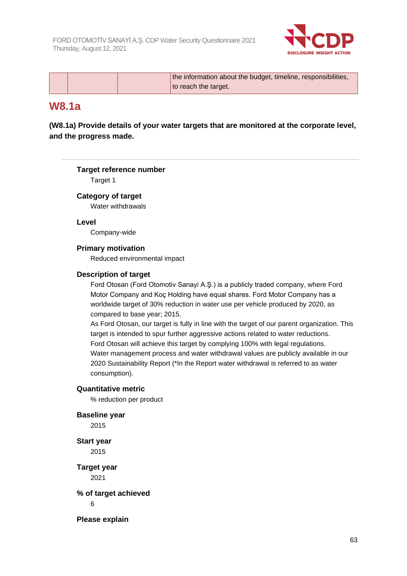

|  | the information about the budget, timeline, responsibilities, |
|--|---------------------------------------------------------------|
|  | to reach the target.                                          |

## **W8.1a**

**(W8.1a) Provide details of your water targets that are monitored at the corporate level, and the progress made.**

#### **Target reference number**

Target 1

#### **Category of target**

Water withdrawals

#### **Level**

Company-wide

#### **Primary motivation**

Reduced environmental impact

#### **Description of target**

Ford Otosan (Ford Otomotiv Sanayi A.Ş.) is a publicly traded company, where Ford Motor Company and Koç Holding have equal shares. Ford Motor Company has a worldwide target of 30% reduction in water use per vehicle produced by 2020, as compared to base year; 2015.

As Ford Otosan, our target is fully in line with the target of our parent organization. This target is intended to spur further aggressive actions related to water reductions. Ford Otosan will achieve this target by complying 100% with legal regulations. Water management process and water withdrawal values are publicly available in our 2020 Sustainability Report (\*In the Report water withdrawal is referred to as water consumption).

#### **Quantitative metric**

% reduction per product

#### **Baseline year**

2015

**Start year** 2015

**Target year** 2021

**% of target achieved** 6

**Please explain**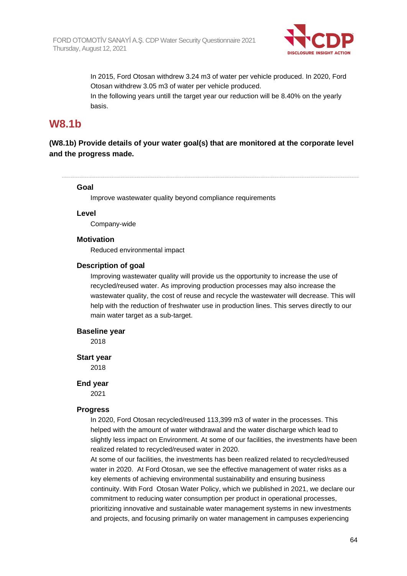

In 2015, Ford Otosan withdrew 3.24 m3 of water per vehicle produced. In 2020, Ford Otosan withdrew 3.05 m3 of water per vehicle produced. In the following years untill the target year our reduction will be 8.40% on the yearly

# **W8.1b**

**(W8.1b) Provide details of your water goal(s) that are monitored at the corporate level and the progress made.**

#### **Goal**

Improve wastewater quality beyond compliance requirements

#### **Level**

Company-wide

#### **Motivation**

basis.

Reduced environmental impact

#### **Description of goal**

Improving wastewater quality will provide us the opportunity to increase the use of recycled/reused water. As improving production processes may also increase the wastewater quality, the cost of reuse and recycle the wastewater will decrease. This will help with the reduction of freshwater use in production lines. This serves directly to our main water target as a sub-target.

#### **Baseline year**

2018

#### **Start year**

2018

#### **End year**

2021

#### **Progress**

In 2020, Ford Otosan recycled/reused 113,399 m3 of water in the processes. This helped with the amount of water withdrawal and the water discharge which lead to slightly less impact on Environment. At some of our facilities, the investments have been realized related to recycled/reused water in 2020.

At some of our facilities, the investments has been realized related to recycled/reused water in 2020. At Ford Otosan, we see the effective management of water risks as a key elements of achieving environmental sustainability and ensuring business continuity. With Ford Otosan Water Policy, which we published in 2021, we declare our commitment to reducing water consumption per product in operational processes, prioritizing innovative and sustainable water management systems in new investments and projects, and focusing primarily on water management in campuses experiencing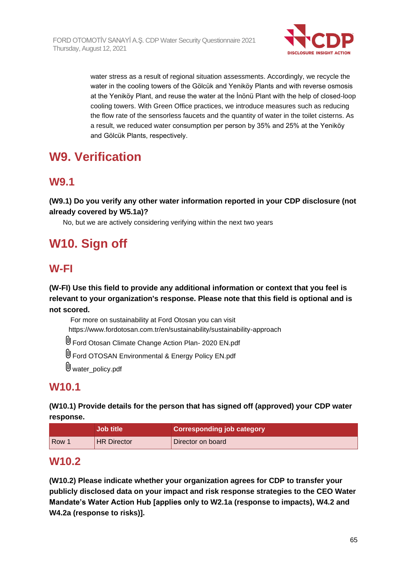

water stress as a result of regional situation assessments. Accordingly, we recycle the water in the cooling towers of the Gölcük and Yeniköy Plants and with reverse osmosis at the Yeniköy Plant, and reuse the water at the İnönü Plant with the help of closed-loop cooling towers. With Green Office practices, we introduce measures such as reducing the flow rate of the sensorless faucets and the quantity of water in the toilet cisterns. As a result, we reduced water consumption per person by 35% and 25% at the Yeniköy and Gölcük Plants, respectively.

# **W9. Verification**

# **W9.1**

**(W9.1) Do you verify any other water information reported in your CDP disclosure (not already covered by W5.1a)?**

No, but we are actively considering verifying within the next two years

# **W10. Sign off**

# **W-FI**

**(W-FI) Use this field to provide any additional information or context that you feel is relevant to your organization's response. Please note that this field is optional and is not scored.**

For more on sustainability at Ford Otosan you can visit https://www.fordotosan.com.tr/en/sustainability/sustainability-approach

- Ford Otosan Climate Change Action Plan- 2020 EN.pdf
- Ford OTOSAN Environmental & Energy Policy EN.pdf
- $\mathbb U$  water policy.pdf

# **W10.1**

**(W10.1) Provide details for the person that has signed off (approved) your CDP water response.**

|       | <b>Job title</b>   | <b>Corresponding job category</b> |
|-------|--------------------|-----------------------------------|
| Row 1 | <b>HR Director</b> | Director on board                 |

# **W10.2**

**(W10.2) Please indicate whether your organization agrees for CDP to transfer your publicly disclosed data on your impact and risk response strategies to the CEO Water Mandate's Water Action Hub [applies only to W2.1a (response to impacts), W4.2 and W4.2a (response to risks)].**